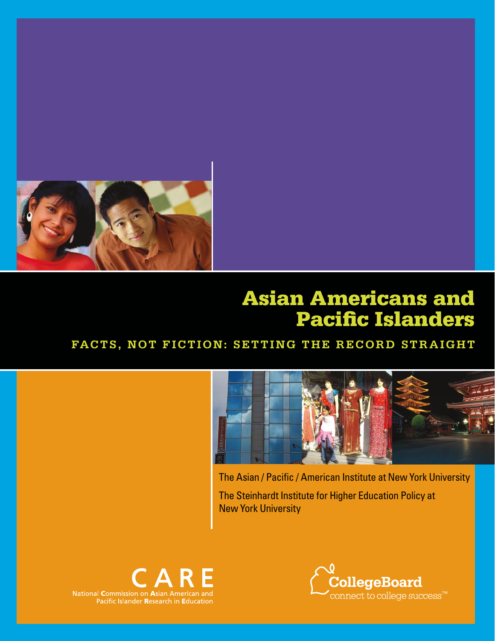

# Asian Americans and Pacific Islanders

# **Facts, Not Fiction: Setting the Record Straight**



The Asian / Pacific / American Institute at New York University

The Steinhardt Institute for Higher Education Policy at New York University



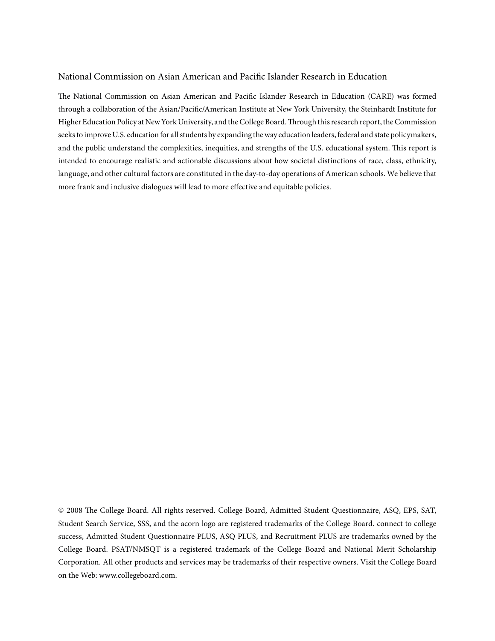#### National Commission on Asian American and Pacific Islander Research in Education

The National Commission on Asian American and Pacific Islander Research in Education (CARE) was formed through a collaboration of the Asian/Pacific/American Institute at New York University, the Steinhardt Institute for Higher Education Policy at New York University, and the College Board. Through this research report, the Commission seeks to improve U.S. education for all students by expanding the way education leaders, federal and state policymakers, and the public understand the complexities, inequities, and strengths of the U.S. educational system. This report is intended to encourage realistic and actionable discussions about how societal distinctions of race, class, ethnicity, language, and other cultural factors are constituted in the day-to-day operations of American schools. We believe that more frank and inclusive dialogues will lead to more effective and equitable policies.

© 2008 The College Board. All rights reserved. College Board, Admitted Student Questionnaire, ASQ, EPS, SAT, Student Search Service, SSS, and the acorn logo are registered trademarks of the College Board. connect to college success, Admitted Student Questionnaire PLUS, ASQ PLUS, and Recruitment PLUS are trademarks owned by the College Board. PSAT/NMSQT is a registered trademark of the College Board and National Merit Scholarship Corporation. All other products and services may be trademarks of their respective owners. Visit the College Board on the Web: www.collegeboard.com.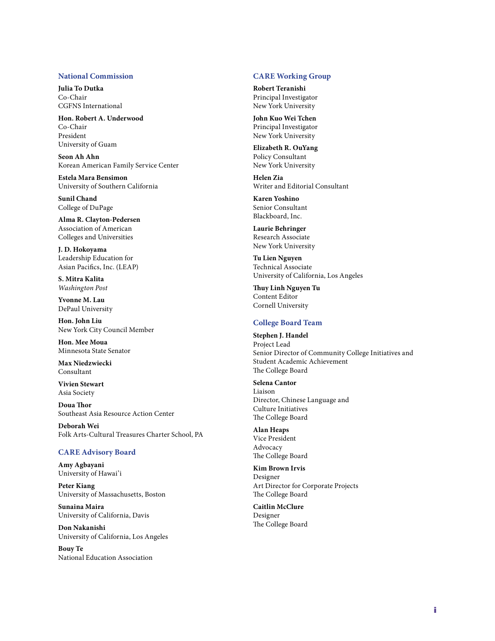#### **National Commission**

**Julia To Dutka** Co-Chair CGFNS International

**Hon. Robert A. Underwood** Co-Chair President University of Guam

**Seon Ah Ahn** Korean American Family Service Center

**Estela Mara Bensimon** University of Southern California

**Sunil Chand** College of DuPage

**Alma R. Clayton-Pedersen** Association of American Colleges and Universities

**J. D. Hokoyama** Leadership Education for Asian Pacifics, Inc. (LEAP)

**S. Mitra Kalita** *Washington Post*

**Yvonne M. Lau** DePaul University

**Hon. John Liu** New York City Council Member

**Hon. Mee Moua** Minnesota State Senator

**Max Niedzwiecki** Consultant

**Vivien Stewart** Asia Society

**Doua Thor** Southeast Asia Resource Action Center

**Deborah Wei** Folk Arts-Cultural Treasures Charter School, PA

#### **CARE Advisory Board**

**Amy Agbayani** University of Hawai'i

**Peter Kiang** University of Massachusetts, Boston

**Sunaina Maira** University of California, Davis

**Don Nakanishi** University of California, Los Angeles

**Bouy Te** National Education Association

#### **CARE Working Group**

**Robert Teranishi** Principal Investigator New York University

**John Kuo Wei Tchen** Principal Investigator New York University

**Elizabeth R. OuYang** Policy Consultant New York University

**Helen Zia** Writer and Editorial Consultant

**Karen Yoshino** Senior Consultant Blackboard, Inc.

**Laurie Behringer** Research Associate New York University

**Tu Lien Nguyen** Technical Associate University of California, Los Angeles

**Thuy Linh Nguyen Tu** Content Editor Cornell University

#### **College Board Team**

**Stephen J. Handel** Project Lead Senior Director of Community College Initiatives and Student Academic Achievement The College Board

**Selena Cantor** Liaison Director, Chinese Language and Culture Initiatives The College Board

**Alan Heaps** Vice President Advocacy The College Board

**Kim Brown Irvis** Designer Art Director for Corporate Projects The College Board

**Caitlin McClure** Designer The College Board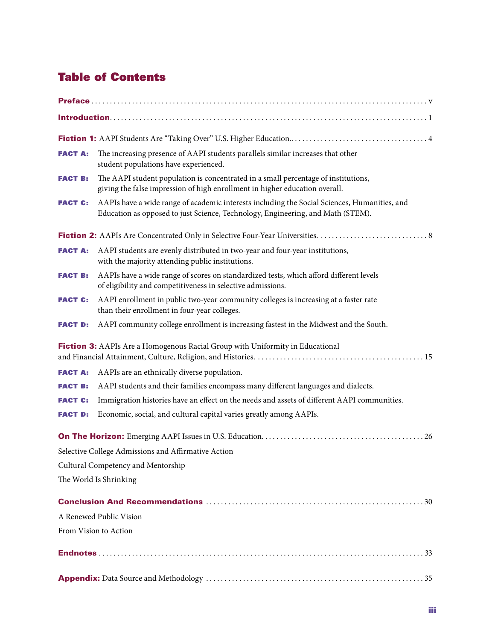# Table of Contents

| <b>FACT A:</b> | The increasing presence of AAPI students parallels similar increases that other<br>student populations have experienced.                                                        |  |  |  |  |
|----------------|---------------------------------------------------------------------------------------------------------------------------------------------------------------------------------|--|--|--|--|
| <b>FACT B:</b> | The AAPI student population is concentrated in a small percentage of institutions,<br>giving the false impression of high enrollment in higher education overall.               |  |  |  |  |
| <b>FACT C:</b> | AAPIs have a wide range of academic interests including the Social Sciences, Humanities, and<br>Education as opposed to just Science, Technology, Engineering, and Math (STEM). |  |  |  |  |
|                |                                                                                                                                                                                 |  |  |  |  |
| <b>FACT A:</b> | AAPI students are evenly distributed in two-year and four-year institutions,<br>with the majority attending public institutions.                                                |  |  |  |  |
| <b>FACT B:</b> | AAPIs have a wide range of scores on standardized tests, which afford different levels<br>of eligibility and competitiveness in selective admissions.                           |  |  |  |  |
| <b>FACT C:</b> | AAPI enrollment in public two-year community colleges is increasing at a faster rate<br>than their enrollment in four-year colleges.                                            |  |  |  |  |
| <b>FACT D:</b> | AAPI community college enrollment is increasing fastest in the Midwest and the South.                                                                                           |  |  |  |  |
|                | Fiction 3: AAPIs Are a Homogenous Racial Group with Uniformity in Educational                                                                                                   |  |  |  |  |
| <b>FACT A:</b> | AAPIs are an ethnically diverse population.                                                                                                                                     |  |  |  |  |
| <b>FACT B:</b> | AAPI students and their families encompass many different languages and dialects.                                                                                               |  |  |  |  |
| <b>FACT C:</b> | Immigration histories have an effect on the needs and assets of different AAPI communities.                                                                                     |  |  |  |  |
| <b>FACT D:</b> | Economic, social, and cultural capital varies greatly among AAPIs.                                                                                                              |  |  |  |  |
|                |                                                                                                                                                                                 |  |  |  |  |
|                | Selective College Admissions and Affirmative Action                                                                                                                             |  |  |  |  |
|                | Cultural Competency and Mentorship                                                                                                                                              |  |  |  |  |
|                | The World Is Shrinking                                                                                                                                                          |  |  |  |  |
|                |                                                                                                                                                                                 |  |  |  |  |
|                | A Renewed Public Vision                                                                                                                                                         |  |  |  |  |
|                | From Vision to Action                                                                                                                                                           |  |  |  |  |
|                |                                                                                                                                                                                 |  |  |  |  |
|                |                                                                                                                                                                                 |  |  |  |  |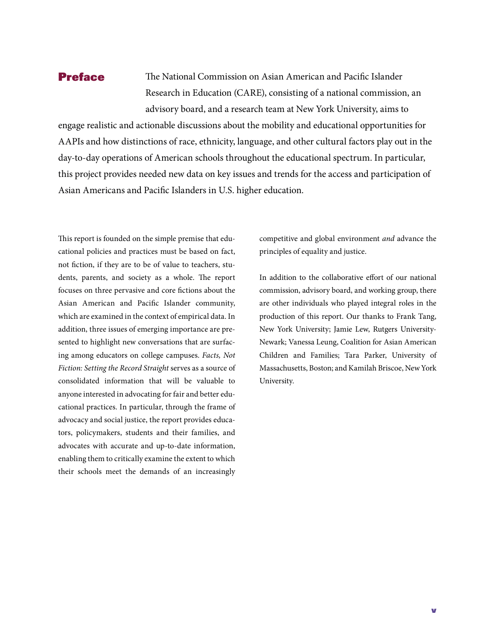### Preface

The National Commission on Asian American and Pacific Islander Research in Education (CARE), consisting of a national commission, an advisory board, and a research team at New York University, aims to

engage realistic and actionable discussions about the mobility and educational opportunities for AAPIs and how distinctions of race, ethnicity, language, and other cultural factors play out in the day-to-day operations of American schools throughout the educational spectrum. In particular, this project provides needed new data on key issues and trends for the access and participation of Asian Americans and Pacific Islanders in U.S. higher education.

This report is founded on the simple premise that educational policies and practices must be based on fact, not fiction, if they are to be of value to teachers, students, parents, and society as a whole. The report focuses on three pervasive and core fictions about the Asian American and Pacific Islander community, which are examined in the context of empirical data. In addition, three issues of emerging importance are presented to highlight new conversations that are surfacing among educators on college campuses. *Facts, Not Fiction: Setting the Record Straight* serves as a source of consolidated information that will be valuable to anyone interested in advocating for fair and better educational practices. In particular, through the frame of advocacy and social justice, the report provides educators, policymakers, students and their families, and advocates with accurate and up-to-date information, enabling them to critically examine the extent to which their schools meet the demands of an increasingly

competitive and global environment *and* advance the principles of equality and justice.

In addition to the collaborative effort of our national commission, advisory board, and working group, there are other individuals who played integral roles in the production of this report. Our thanks to Frank Tang, New York University; Jamie Lew, Rutgers University-Newark; Vanessa Leung, Coalition for Asian American Children and Families; Tara Parker, University of Massachusetts, Boston; and Kamilah Briscoe, New York University.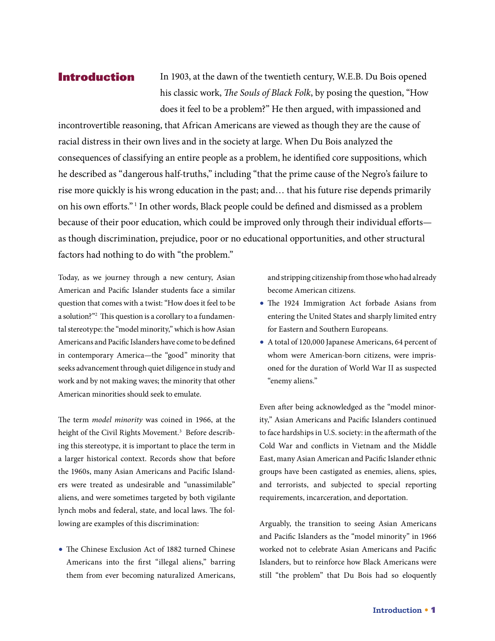### Introduction

In 1903, at the dawn of the twentieth century, W.E.B. Du Bois opened his classic work, *The Souls of Black Folk*, by posing the question, "How does it feel to be a problem?" He then argued, with impassioned and

incontrovertible reasoning, that African Americans are viewed as though they are the cause of racial distress in their own lives and in the society at large. When Du Bois analyzed the consequences of classifying an entire people as a problem, he identified core suppositions, which he described as "dangerous half-truths," including "that the prime cause of the Negro's failure to rise more quickly is his wrong education in the past; and… that his future rise depends primarily on his own efforts." 1 In other words, Black people could be defined and dismissed as a problem because of their poor education, which could be improved only through their individual efforts as though discrimination, prejudice, poor or no educational opportunities, and other structural factors had nothing to do with "the problem."

Today, as we journey through a new century, Asian American and Pacific Islander students face a similar question that comes with a twist: "How does it feel to be a solution?"<sup>2</sup> This question is a corollary to a fundamental stereotype: the "model minority," which is how Asian Americans and Pacific Islanders have come to be defined in contemporary America—the "good" minority that seeks advancement through quiet diligence in study and work and by not making waves; the minority that other American minorities should seek to emulate.

The term *model minority* was coined in 1966, at the height of the Civil Rights Movement.<sup>3</sup> Before describing this stereotype, it is important to place the term in a larger historical context. Records show that before the 1960s, many Asian Americans and Pacific Islanders were treated as undesirable and "unassimilable" aliens, and were sometimes targeted by both vigilante lynch mobs and federal, state, and local laws. The following are examples of this discrimination:

**•** The Chinese Exclusion Act of 1882 turned Chinese Americans into the first "illegal aliens," barring them from ever becoming naturalized Americans,

and stripping citizenship from those who had already become American citizens.

- **•** The 1924 Immigration Act forbade Asians from entering the United States and sharply limited entry for Eastern and Southern Europeans.
- **•** A total of 120,000 Japanese Americans, 64 percent of whom were American-born citizens, were imprisoned for the duration of World War II as suspected "enemy aliens."

Even after being acknowledged as the "model minority," Asian Americans and Pacific Islanders continued to face hardships in U.S. society: in the aftermath of the Cold War and conflicts in Vietnam and the Middle East, many Asian American and Pacific Islander ethnic groups have been castigated as enemies, aliens, spies, and terrorists, and subjected to special reporting requirements, incarceration, and deportation.

Arguably, the transition to seeing Asian Americans and Pacific Islanders as the "model minority" in 1966 worked not to celebrate Asian Americans and Pacific Islanders, but to reinforce how Black Americans were still "the problem" that Du Bois had so eloquently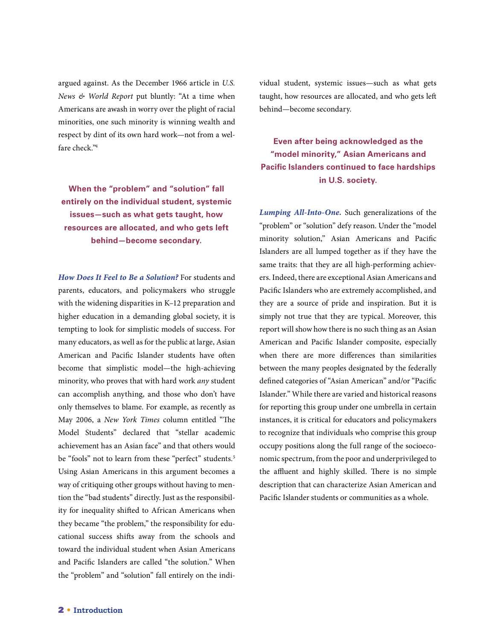argued against. As the December 1966 article in *U.S. News & World Report* put bluntly: "At a time when Americans are awash in worry over the plight of racial minorities, one such minority is winning wealth and respect by dint of its own hard work—not from a welfare check."4

**When the "problem" and "solution" fall entirely on the individual student, systemic issues—such as what gets taught, how resources are allocated, and who gets left behind—become secondary.** 

*How Does It Feel to Be a Solution?* For students and parents, educators, and policymakers who struggle with the widening disparities in K–12 preparation and higher education in a demanding global society, it is tempting to look for simplistic models of success. For many educators, as well as for the public at large, Asian American and Pacific Islander students have often become that simplistic model—the high-achieving minority, who proves that with hard work *any* student can accomplish anything, and those who don't have only themselves to blame. For example, as recently as May 2006, a *New York Times* column entitled "The Model Students" declared that "stellar academic achievement has an Asian face" and that others would be "fools" not to learn from these "perfect" students.<sup>5</sup> Using Asian Americans in this argument becomes a way of critiquing other groups without having to mention the "bad students" directly. Just as the responsibility for inequality shifted to African Americans when they became "the problem," the responsibility for educational success shifts away from the schools and toward the individual student when Asian Americans and Pacific Islanders are called "the solution." When the "problem" and "solution" fall entirely on the individual student, systemic issues—such as what gets taught, how resources are allocated, and who gets left behind—become secondary.

### **Even after being acknowledged as the "model minority," Asian Americans and Pacific Islanders continued to face hardships in U.S. society.**

*Lumping All-Into-One.* Such generalizations of the "problem" or "solution" defy reason. Under the "model minority solution," Asian Americans and Pacific Islanders are all lumped together as if they have the same traits: that they are all high-performing achievers. Indeed, there are exceptional Asian Americans and Pacific Islanders who are extremely accomplished, and they are a source of pride and inspiration. But it is simply not true that they are typical. Moreover, this report will show how there is no such thing as an Asian American and Pacific Islander composite, especially when there are more differences than similarities between the many peoples designated by the federally defined categories of "Asian American" and/or "Pacific Islander." While there are varied and historical reasons for reporting this group under one umbrella in certain instances, it is critical for educators and policymakers to recognize that individuals who comprise this group occupy positions along the full range of the socioeconomic spectrum, from the poor and underprivileged to the affluent and highly skilled. There is no simple description that can characterize Asian American and Pacific Islander students or communities as a whole.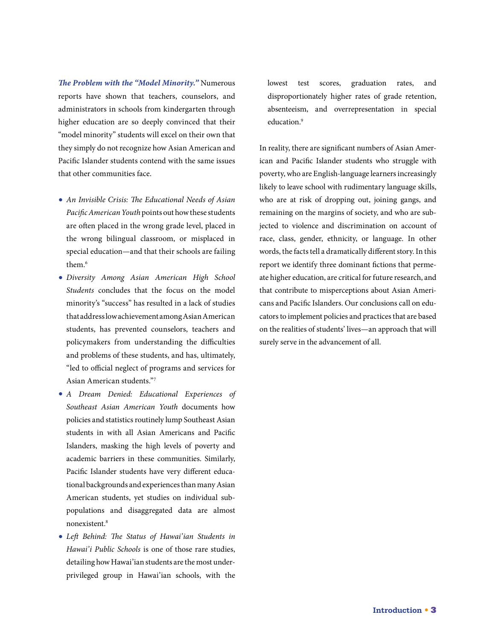*The Problem with the "Model Minority."* Numerous reports have shown that teachers, counselors, and administrators in schools from kindergarten through higher education are so deeply convinced that their "model minority" students will excel on their own that they simply do not recognize how Asian American and Pacific Islander students contend with the same issues that other communities face.

- **•** *An Invisible Crisis: The Educational Needs of Asian Pacific American Youth* points out how these students are often placed in the wrong grade level, placed in the wrong bilingual classroom, or misplaced in special education—and that their schools are failing them.6
- **•** *Diversity Among Asian American High School Students* concludes that the focus on the model minority's "success" has resulted in a lack of studies that address low achievement among Asian American students, has prevented counselors, teachers and policymakers from understanding the difficulties and problems of these students, and has, ultimately, "led to official neglect of programs and services for Asian American students."7
- **•** *A Dream Denied: Educational Experiences of Southeast Asian American Youth* documents how policies and statistics routinely lump Southeast Asian students in with all Asian Americans and Pacific Islanders, masking the high levels of poverty and academic barriers in these communities. Similarly, Pacific Islander students have very different educational backgrounds and experiences than many Asian American students, yet studies on individual subpopulations and disaggregated data are almost nonexistent.8
- **•** *Left Behind: The Status of Hawai'ian Students in Hawai'i Public Schools* is one of those rare studies, detailing how Hawai'ian students are the most underprivileged group in Hawai'ian schools, with the

lowest test scores, graduation rates, and disproportionately higher rates of grade retention, absenteeism, and overrepresentation in special education.<sup>9</sup>

In reality, there are significant numbers of Asian American and Pacific Islander students who struggle with poverty, who are English-language learners increasingly likely to leave school with rudimentary language skills, who are at risk of dropping out, joining gangs, and remaining on the margins of society, and who are subjected to violence and discrimination on account of race, class, gender, ethnicity, or language. In other words, the facts tell a dramatically different story. In this report we identify three dominant fictions that permeate higher education, are critical for future research, and that contribute to misperceptions about Asian Americans and Pacific Islanders. Our conclusions call on educators to implement policies and practices that are based on the realities of students' lives—an approach that will surely serve in the advancement of all.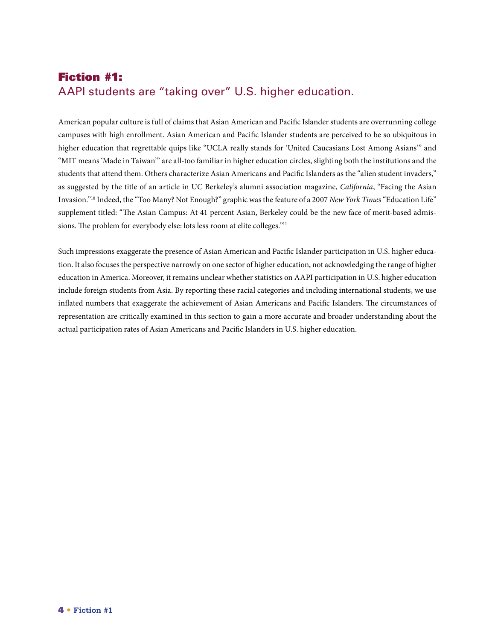# Fiction #1: AAPI students are "taking over" U.S. higher education.

American popular culture is full of claims that Asian American and Pacific Islander students are overrunning college campuses with high enrollment. Asian American and Pacific Islander students are perceived to be so ubiquitous in higher education that regrettable quips like "UCLA really stands for 'United Caucasians Lost Among Asians'" and "MIT means 'Made in Taiwan'" are all-too familiar in higher education circles, slighting both the institutions and the students that attend them. Others characterize Asian Americans and Pacific Islanders as the "alien student invaders," as suggested by the title of an article in UC Berkeley's alumni association magazine, *California*, "Facing the Asian Invasion."10 Indeed, the "Too Many? Not Enough?" graphic was the feature of a 2007 *New York Time*s "Education Life" supplement titled: "The Asian Campus: At 41 percent Asian, Berkeley could be the new face of merit-based admissions. The problem for everybody else: lots less room at elite colleges."<sup>11</sup>

Such impressions exaggerate the presence of Asian American and Pacific Islander participation in U.S. higher education. It also focuses the perspective narrowly on one sector of higher education, not acknowledging the range of higher education in America. Moreover, it remains unclear whether statistics on AAPI participation in U.S. higher education include foreign students from Asia. By reporting these racial categories and including international students, we use inflated numbers that exaggerate the achievement of Asian Americans and Pacific Islanders. The circumstances of representation are critically examined in this section to gain a more accurate and broader understanding about the actual participation rates of Asian Americans and Pacific Islanders in U.S. higher education.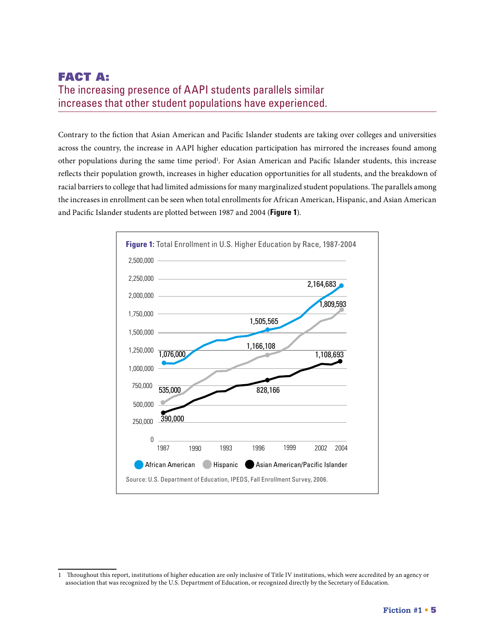### FACT A: The increasing presence of AAPI students parallels similar increases that other student populations have experienced.

Contrary to the fiction that Asian American and Pacific Islander students are taking over colleges and universities across the country, the increase in AAPI higher education participation has mirrored the increases found among other populations during the same time period<sup>1</sup>. For Asian American and Pacific Islander students, this increase reflects their population growth, increases in higher education opportunities for all students, and the breakdown of racial barriers to college that had limited admissions for many marginalized student populations. The parallels among the increases in enrollment can be seen when total enrollments for African American, Hispanic, and Asian American and Pacific Islander students are plotted between 1987 and 2004 (**Figure 1**).



<sup>1</sup> Throughout this report, institutions of higher education are only inclusive of Title IV institutions, which were accredited by an agency or association that was recognized by the U.S. Department of Education, or recognized directly by the Secretary of Education.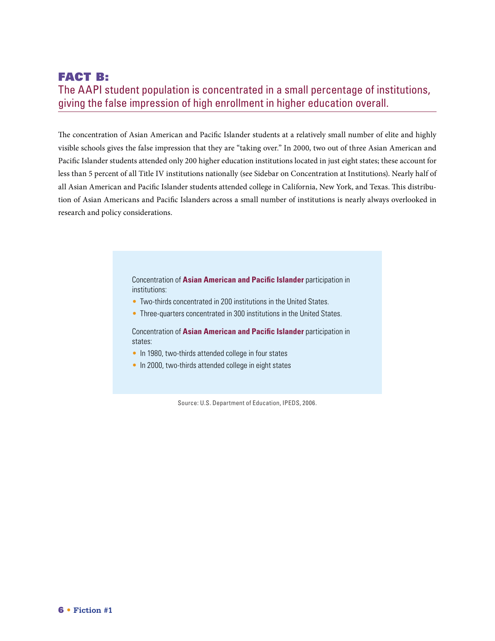# FACT B: The AAPI student population is concentrated in a small percentage of institutions, giving the false impression of high enrollment in higher education overall.

The concentration of Asian American and Pacific Islander students at a relatively small number of elite and highly visible schools gives the false impression that they are "taking over." In 2000, two out of three Asian American and Pacific Islander students attended only 200 higher education institutions located in just eight states; these account for less than 5 percent of all Title IV institutions nationally (see Sidebar on Concentration at Institutions). Nearly half of all Asian American and Pacific Islander students attended college in California, New York, and Texas. This distribution of Asian Americans and Pacific Islanders across a small number of institutions is nearly always overlooked in research and policy considerations.

> Concentration of **Asian American and Pacific Islander** participation in institutions:

- Two-thirds concentrated in 200 institutions in the United States.
- Three-quarters concentrated in 300 institutions in the United States.

Concentration of **Asian American and Pacific Islander** participation in states:

- In 1980, two-thirds attended college in four states
- In 2000, two-thirds attended college in eight states

Source: U.S. Department of Education, IPEDS, 2006.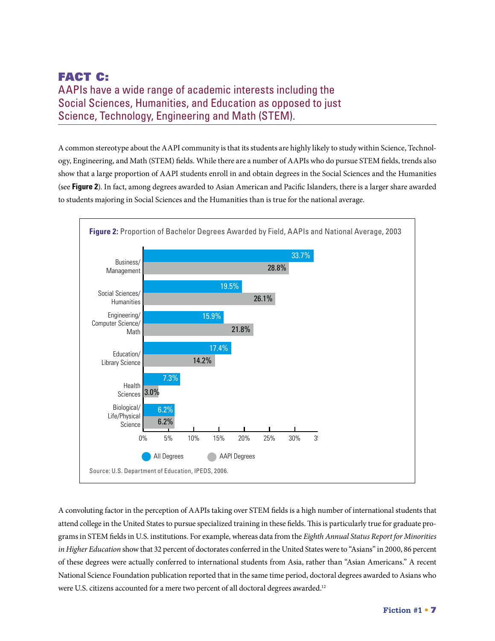# FACT C: AAPIs have a wide range of academic interests including the Social Sciences, Humanities, and Education as opposed to just Science, Technology, Engineering and Math (STEM).

A common stereotype about the AAPI community is that its students are highly likely to study within Science, Technology, Engineering, and Math (STEM) fields. While there are a number of AAPIs who do pursue STEM fields, trends also show that a large proportion of AAPI students enroll in and obtain degrees in the Social Sciences and the Humanities (see **Figure 2**). In fact, among degrees awarded to Asian American and Pacific Islanders, there is a larger share awarded to students majoring in Social Sciences and the Humanities than is true for the national average.



A convoluting factor in the perception of AAPIs taking over STEM fields is a high number of international students that attend college in the United States to pursue specialized training in these fields. This is particularly true for graduate programs in STEM fields in U.S. institutions. For example, whereas data from the *Eighth Annual Status Report for Minorities in Higher Education* show that 32 percent of doctorates conferred in the United States were to "Asians" in 2000, 86 percent of these degrees were actually conferred to international students from Asia, rather than "Asian Americans." A recent National Science Foundation publication reported that in the same time period, doctoral degrees awarded to Asians who were U.S. citizens accounted for a mere two percent of all doctoral degrees awarded.<sup>12</sup>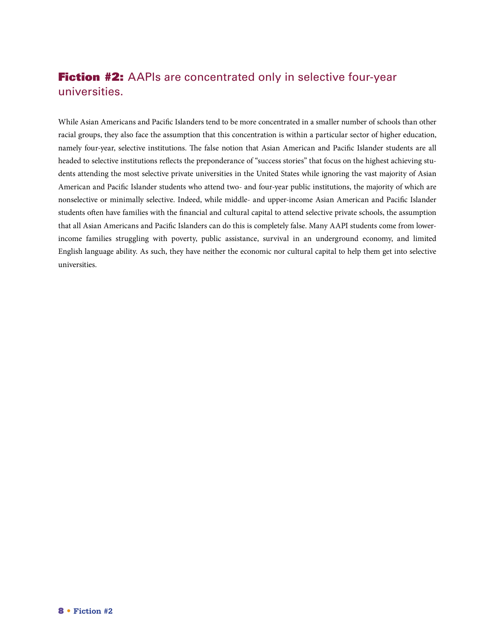# Fiction #2: AAPIs are concentrated only in selective four-year universities.

While Asian Americans and Pacific Islanders tend to be more concentrated in a smaller number of schools than other racial groups, they also face the assumption that this concentration is within a particular sector of higher education, namely four-year, selective institutions. The false notion that Asian American and Pacific Islander students are all headed to selective institutions reflects the preponderance of "success stories" that focus on the highest achieving students attending the most selective private universities in the United States while ignoring the vast majority of Asian American and Pacific Islander students who attend two- and four-year public institutions, the majority of which are nonselective or minimally selective. Indeed, while middle- and upper-income Asian American and Pacific Islander students often have families with the financial and cultural capital to attend selective private schools, the assumption that all Asian Americans and Pacific Islanders can do this is completely false. Many AAPI students come from lowerincome families struggling with poverty, public assistance, survival in an underground economy, and limited English language ability. As such, they have neither the economic nor cultural capital to help them get into selective universities.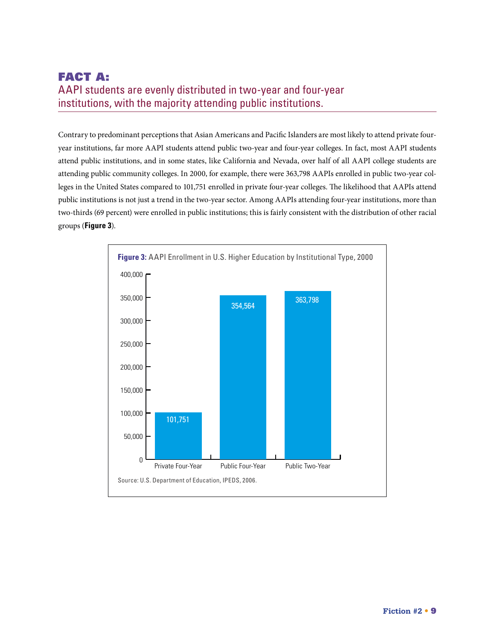# FACT A: AAPI students are evenly distributed in two-year and four-year institutions, with the majority attending public institutions.

Contrary to predominant perceptions that Asian Americans and Pacific Islanders are most likely to attend private fouryear institutions, far more AAPI students attend public two-year and four-year colleges. In fact, most AAPI students attend public institutions, and in some states, like California and Nevada, over half of all AAPI college students are attending public community colleges. In 2000, for example, there were 363,798 AAPIs enrolled in public two-year colleges in the United States compared to 101,751 enrolled in private four-year colleges. The likelihood that AAPIs attend public institutions is not just a trend in the two-year sector. Among AAPIs attending four-year institutions, more than two-thirds (69 percent) were enrolled in public institutions; this is fairly consistent with the distribution of other racial groups (**Figure 3**).

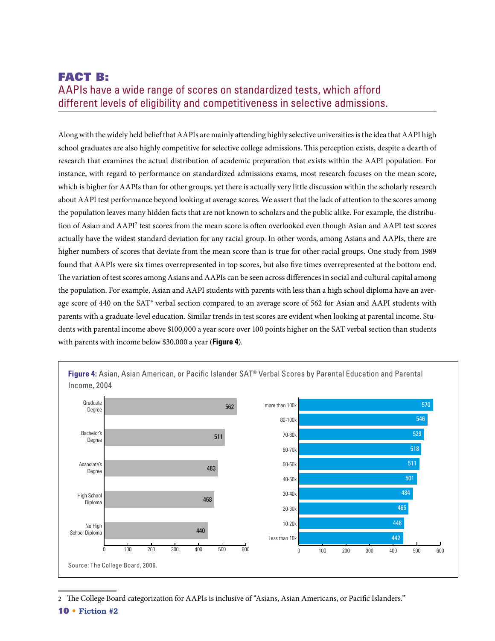# FACT B: AAPIs have a wide range of scores on standardized tests, which afford different levels of eligibility and competitiveness in selective admissions.

Along with the widely held belief that AAPIs are mainly attending highly selective universities is the idea that AAPI high school graduates are also highly competitive for selective college admissions. This perception exists, despite a dearth of research that examines the actual distribution of academic preparation that exists within the AAPI population. For instance, with regard to performance on standardized admissions exams, most research focuses on the mean score, which is higher for AAPIs than for other groups, yet there is actually very little discussion within the scholarly research about AAPI test performance beyond looking at average scores. We assert that the lack of attention to the scores among the population leaves many hidden facts that are not known to scholars and the public alike. For example, the distribution of Asian and AAPI<sup>2</sup> test scores from the mean score is often overlooked even though Asian and AAPI test scores actually have the widest standard deviation for any racial group. In other words, among Asians and AAPIs, there are higher numbers of scores that deviate from the mean score than is true for other racial groups. One study from 1989 found that AAPIs were six times overrepresented in top scores, but also five times overrepresented at the bottom end. The variation of test scores among Asians and AAPIs can be seen across differences in social and cultural capital among the population. For example, Asian and AAPI students with parents with less than a high school diploma have an average score of 440 on the SAT® verbal section compared to an average score of 562 for Asian and AAPI students with parents with a graduate-level education. Similar trends in test scores are evident when looking at parental income. Students with parental income above \$100,000 a year score over 100 points higher on the SAT verbal section than students with parents with income below \$30,000 a year (**Figure 4**).



**Figure 4:** Asian, Asian American, or Pacific Islander SAT® Verbal Scores by Parental Education and Parental Income, 2004

2 The College Board categorization for AAPIs is inclusive of "Asians, Asian Americans, or Pacific Islanders."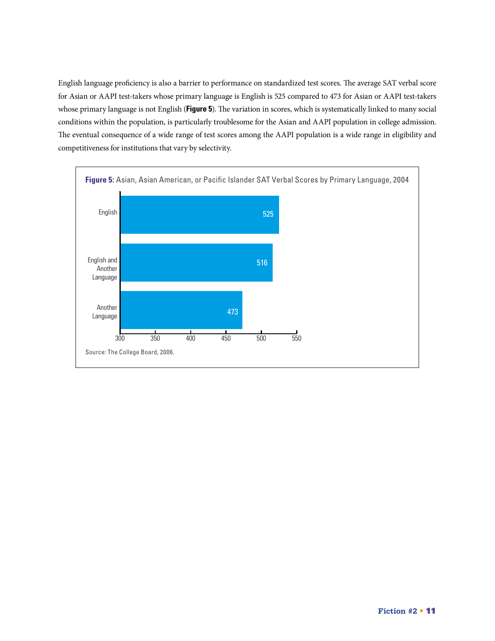English language proficiency is also a barrier to performance on standardized test scores. The average SAT verbal score for Asian or AAPI test-takers whose primary language is English is 525 compared to 473 for Asian or AAPI test-takers whose primary language is not English (**Figure 5**). The variation in scores, which is systematically linked to many social conditions within the population, is particularly troublesome for the Asian and AAPI population in college admission. The eventual consequence of a wide range of test scores among the AAPI population is a wide range in eligibility and competitiveness for institutions that vary by selectivity.

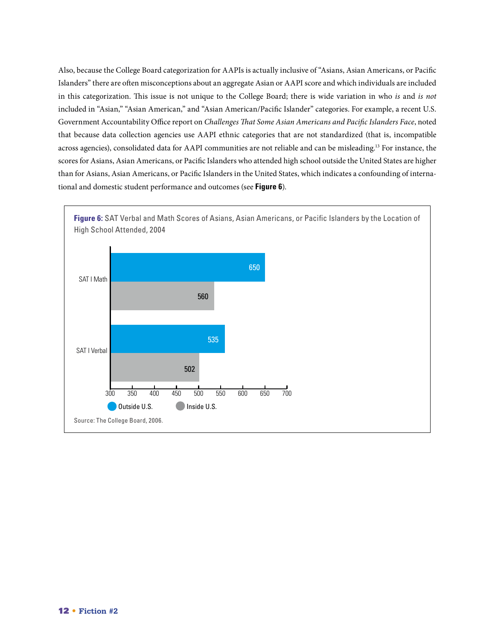Also, because the College Board categorization for AAPIs is actually inclusive of "Asians, Asian Americans, or Pacific Islanders" there are often misconceptions about an aggregate Asian or AAPI score and which individuals are included in this categorization. This issue is not unique to the College Board; there is wide variation in who *is* and *is not* included in "Asian," "Asian American," and "Asian American/Pacific Islander" categories. For example, a recent U.S. Government Accountability Office report on *Challenges That Some Asian Americans and Pacific Islanders Face*, noted that because data collection agencies use AAPI ethnic categories that are not standardized (that is, incompatible across agencies), consolidated data for AAPI communities are not reliable and can be misleading.13 For instance, the scores for Asians, Asian Americans, or Pacific Islanders who attended high school outside the United States are higher than for Asians, Asian Americans, or Pacific Islanders in the United States, which indicates a confounding of international and domestic student performance and outcomes (see **Figure 6**).

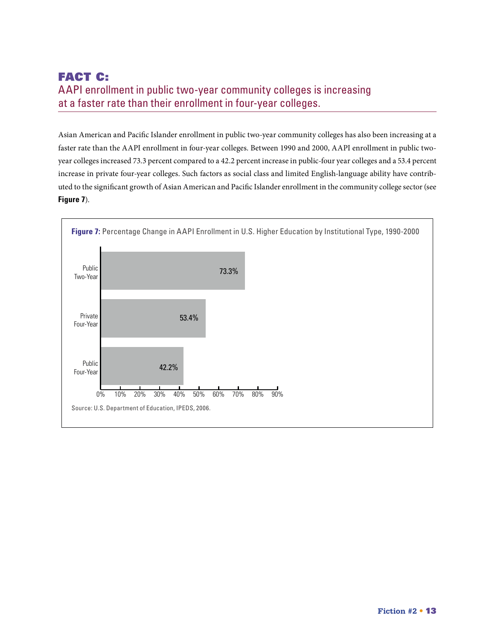# FACT C: AAPI enrollment in public two-year community colleges is increasing at a faster rate than their enrollment in four-year colleges.

Asian American and Pacific Islander enrollment in public two-year community colleges has also been increasing at a faster rate than the AAPI enrollment in four-year colleges. Between 1990 and 2000, AAPI enrollment in public twoyear colleges increased 73.3 percent compared to a 42.2 percent increase in public-four year colleges and a 53.4 percent increase in private four-year colleges. Such factors as social class and limited English-language ability have contributed to the significant growth of Asian American and Pacific Islander enrollment in the community college sector (see **Figure 7**).

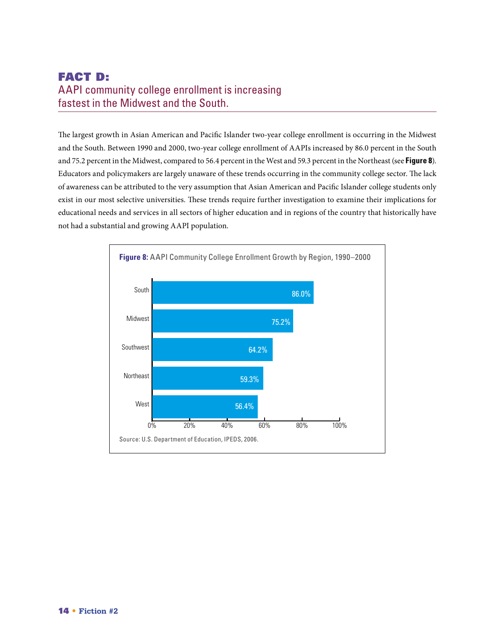# Fact D: AAPI community college enrollment is increasing fastest in the Midwest and the South.

The largest growth in Asian American and Pacific Islander two-year college enrollment is occurring in the Midwest and the South. Between 1990 and 2000, two-year college enrollment of AAPIs increased by 86.0 percent in the South and 75.2 percent in the Midwest, compared to 56.4 percent in the West and 59.3 percent in the Northeast (see **Figure 8**). Educators and policymakers are largely unaware of these trends occurring in the community college sector. The lack of awareness can be attributed to the very assumption that Asian American and Pacific Islander college students only exist in our most selective universities. These trends require further investigation to examine their implications for educational needs and services in all sectors of higher education and in regions of the country that historically have not had a substantial and growing AAPI population.

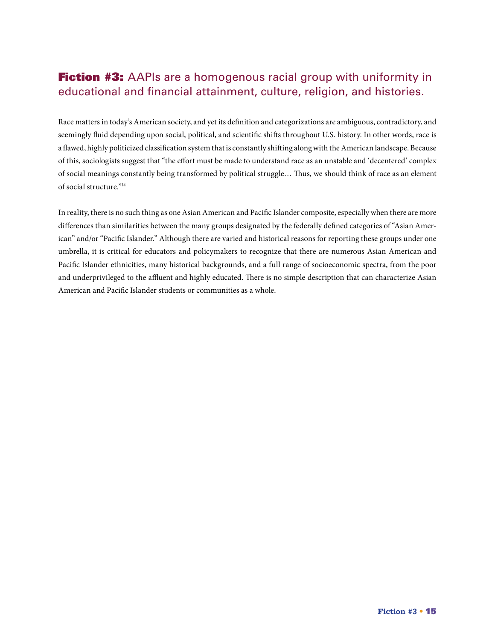# **Fiction #3:** AAPIs are a homogenous racial group with uniformity in educational and financial attainment, culture, religion, and histories.

Race matters in today's American society, and yet its definition and categorizations are ambiguous, contradictory, and seemingly fluid depending upon social, political, and scientific shifts throughout U.S. history. In other words, race is a flawed, highly politicized classification system that is constantly shifting along with the American landscape. Because of this, sociologists suggest that "the effort must be made to understand race as an unstable and 'decentered' complex of social meanings constantly being transformed by political struggle… Thus, we should think of race as an element of social structure."14

In reality, there is no such thing as one Asian American and Pacific Islander composite, especially when there are more differences than similarities between the many groups designated by the federally defined categories of "Asian American" and/or "Pacific Islander." Although there are varied and historical reasons for reporting these groups under one umbrella, it is critical for educators and policymakers to recognize that there are numerous Asian American and Pacific Islander ethnicities, many historical backgrounds, and a full range of socioeconomic spectra, from the poor and underprivileged to the affluent and highly educated. There is no simple description that can characterize Asian American and Pacific Islander students or communities as a whole.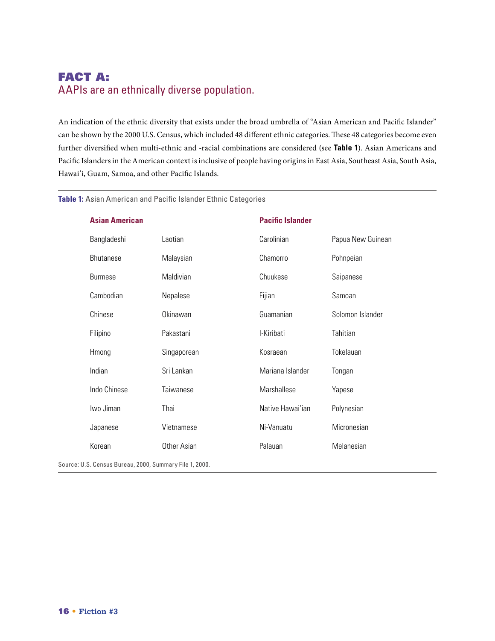# FACT A: AAPIs are an ethnically diverse population.

An indication of the ethnic diversity that exists under the broad umbrella of "Asian American and Pacific Islander" can be shown by the 2000 U.S. Census, which included 48 different ethnic categories. These 48 categories become even further diversified when multi-ethnic and -racial combinations are considered (see **Table 1**). Asian Americans and Pacific Islanders in the American context is inclusive of people having origins in East Asia, Southeast Asia, South Asia, Hawai'i, Guam, Samoa, and other Pacific Islands.

#### **Table 1:** Asian American and Pacific Islander Ethnic Categories

| <b>Asian American</b>                                   |             | <b>Pacific Islander</b> |                   |
|---------------------------------------------------------|-------------|-------------------------|-------------------|
| Bangladeshi                                             | Laotian     | Carolinian              | Papua New Guinean |
| <b>Bhutanese</b>                                        | Malaysian   | Chamorro                | Pohnpeian         |
| <b>Burmese</b>                                          | Maldivian   | Chuukese                | Saipanese         |
| Cambodian                                               | Nepalese    | Fijian                  | Samoan            |
| Chinese                                                 | Okinawan    | Guamanian               | Solomon Islander  |
| Filipino                                                | Pakastani   | I-Kiribati              | Tahitian          |
| Hmong                                                   | Singaporean | Kosraean                | Tokelauan         |
| Indian                                                  | Sri Lankan  | Mariana Islander        | Tongan            |
| Indo Chinese                                            | Taiwanese   | Marshallese             | Yapese            |
| Iwo Jiman                                               | Thai        | Native Hawai'ian        | Polynesian        |
| Japanese                                                | Vietnamese  | Ni-Vanuatu              | Micronesian       |
| Korean                                                  | Other Asian | Palauan                 | Melanesian        |
| Source: U.S. Census Bureau, 2000, Summary File 1, 2000. |             |                         |                   |

16 • **Fiction #3**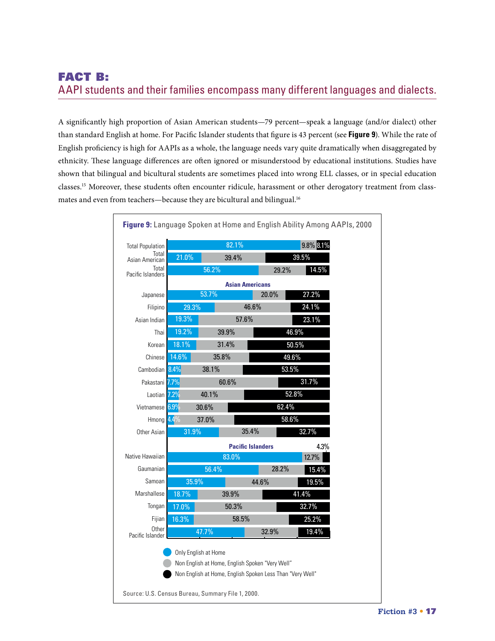# FACT B: AAPI students and their families encompass many different languages and dialects.

A significantly high proportion of Asian American students—79 percent—speak a language (and/or dialect) other than standard English at home. For Pacific Islander students that figure is 43 percent (see **Figure 9**). While the rate of English proficiency is high for AAPIs as a whole, the language needs vary quite dramatically when disaggregated by ethnicity. These language differences are often ignored or misunderstood by educational institutions. Studies have shown that bilingual and bicultural students are sometimes placed into wrong ELL classes, or in special education classes.15 Moreover, these students often encounter ridicule, harassment or other derogatory treatment from classmates and even from teachers-because they are bicultural and bilingual.<sup>16</sup>

| <b>Total Population</b>    |       |                      | 82.1%                                                     |       |       | 9.8% 8.1% |  |
|----------------------------|-------|----------------------|-----------------------------------------------------------|-------|-------|-----------|--|
| Total<br>Asian American    | 21.0% |                      | 39.4%                                                     |       | 39.5% |           |  |
| Total<br>Pacific Islanders |       | 56.2%                |                                                           |       | 29.2% | 14.5%     |  |
|                            |       |                      | <b>Asian Americans</b>                                    |       |       |           |  |
| Japanese                   |       | 53.7%                |                                                           | 20.0% |       | 27.2%     |  |
| Filipino                   | 29.3% |                      | 46.6%                                                     |       |       | 24.1%     |  |
| Asian Indian               | 19.3% |                      | 57.6%                                                     |       |       | 23.1%     |  |
| Thai                       | 19.2% | 39.9%                |                                                           |       | 46.9% |           |  |
| Korean                     | 18.1% | 31.4%                |                                                           | 50.5% |       |           |  |
| Chinese                    | 14.6% | 35.8%                |                                                           |       | 49.6% |           |  |
| Cambodian 8.4%             |       | 38.1%                |                                                           | 53.5% |       |           |  |
| Pakastani 7.7%             |       | 60.6%                |                                                           |       |       | 31.7%     |  |
| Laotian 7.2%               |       | 40.1%                |                                                           | 52.8% |       |           |  |
| Vietnamese 6.9%            |       | 30.6%                |                                                           | 62.4% |       |           |  |
| Hmong $4.4\%$              |       | 37.0%                |                                                           |       | 58.6% |           |  |
| Other Asian                | 31.9% |                      | 35.4%                                                     |       |       | 32.7%     |  |
|                            |       |                      | <b>Pacific Islanders</b>                                  |       |       | 4.3%      |  |
| Native Hawaiian            |       |                      | 83.0%                                                     |       |       | 12.7%     |  |
| Gaumanian                  |       | 56.4%                |                                                           |       | 28.2% | 15.4%     |  |
| Samoan                     | 35.9% |                      |                                                           | 44.6% |       | 19.5%     |  |
| Marshallese<br>18.7%       |       |                      | 39.9%                                                     |       | 41.4% |           |  |
| Tongan                     | 17.0% |                      | 50.3%                                                     |       |       | 32.7%     |  |
| Fijian<br>16.3%            |       | 58.5%                |                                                           |       |       | 25.2%     |  |
| Other<br>Pacific Islander  |       | 47.7%                |                                                           | 32.9% |       | $19.4\%$  |  |
|                            |       | Only English at Home |                                                           |       |       |           |  |
|                            |       |                      | Non English at Home, English Spoken "Very Well"           |       |       |           |  |
|                            |       |                      | Non English at Home, English Spoken Less Than "Very Well" |       |       |           |  |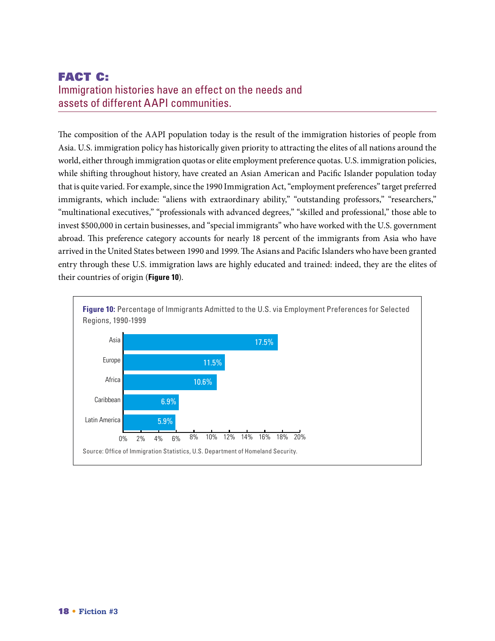# FACT C: Immigration histories have an effect on the needs and assets of different AAPI communities.

The composition of the AAPI population today is the result of the immigration histories of people from Asia. U.S. immigration policy has historically given priority to attracting the elites of all nations around the world, either through immigration quotas or elite employment preference quotas. U.S. immigration policies, while shifting throughout history, have created an Asian American and Pacific Islander population today that is quite varied. For example, since the 1990 Immigration Act, "employment preferences" target preferred immigrants, which include: "aliens with extraordinary ability," "outstanding professors," "researchers," "multinational executives," "professionals with advanced degrees," "skilled and professional," those able to invest \$500,000 in certain businesses, and "special immigrants" who have worked with the U.S. government abroad. This preference category accounts for nearly 18 percent of the immigrants from Asia who have arrived in the United States between 1990 and 1999. The Asians and Pacific Islanders who have been granted entry through these U.S. immigration laws are highly educated and trained: indeed, they are the elites of their countries of origin (**Figure 10**).

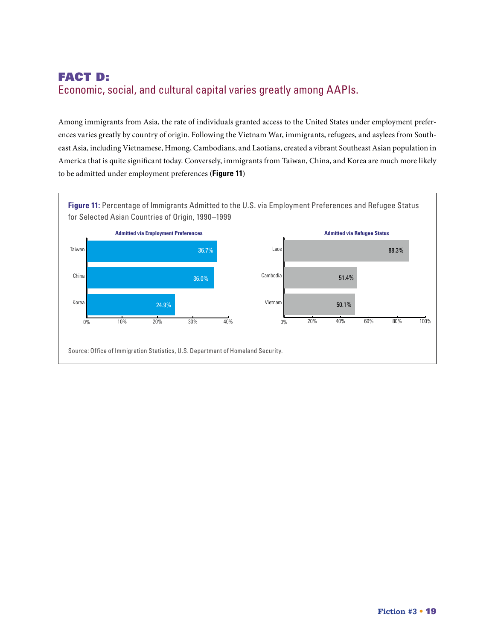# FACT D: Economic, social, and cultural capital varies greatly among AAPIs.

Among immigrants from Asia, the rate of individuals granted access to the United States under employment preferences varies greatly by country of origin. Following the Vietnam War, immigrants, refugees, and asylees from Southeast Asia, including Vietnamese, Hmong, Cambodians, and Laotians, created a vibrant Southeast Asian population in America that is quite significant today. Conversely, immigrants from Taiwan, China, and Korea are much more likely to be admitted under employment preferences (**Figure 11**)

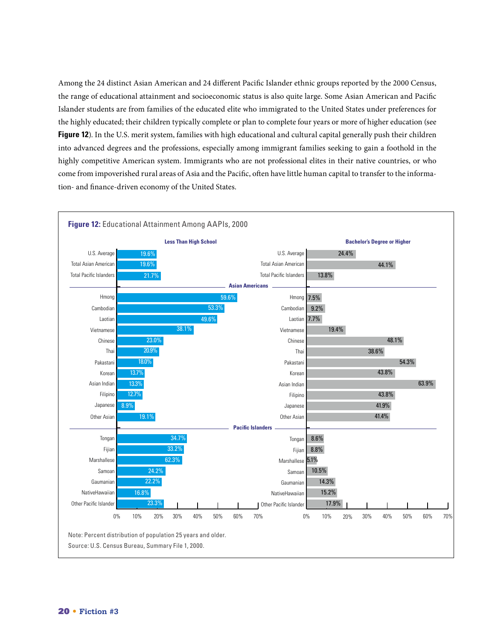Among the 24 distinct Asian American and 24 different Pacific Islander ethnic groups reported by the 2000 Census, the range of educational attainment and socioeconomic status is also quite large. Some Asian American and Pacific Islander students are from families of the educated elite who immigrated to the United States under preferences for the highly educated; their children typically complete or plan to complete four years or more of higher education (see **Figure 12**). In the U.S. merit system, families with high educational and cultural capital generally push their children into advanced degrees and the professions, especially among immigrant families seeking to gain a foothold in the highly competitive American system. Immigrants who are not professional elites in their native countries, or who come from impoverished rural areas of Asia and the Pacific, often have little human capital to transfer to the information- and finance-driven economy of the United States.

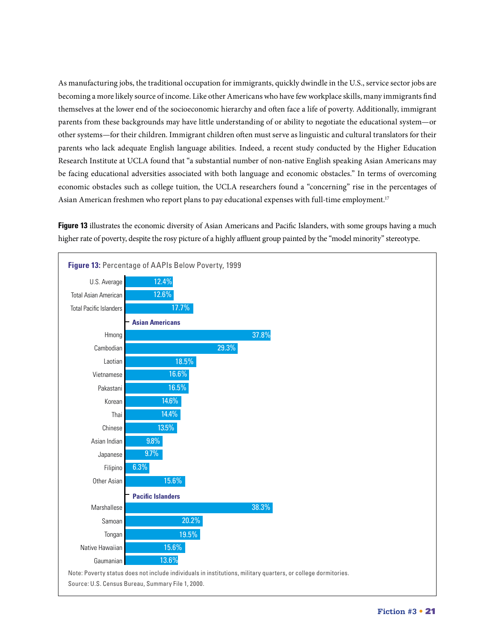As manufacturing jobs, the traditional occupation for immigrants, quickly dwindle in the U.S., service sector jobs are becoming a more likely source of income. Like other Americans who have few workplace skills, many immigrants find themselves at the lower end of the socioeconomic hierarchy and often face a life of poverty. Additionally, immigrant parents from these backgrounds may have little understanding of or ability to negotiate the educational system—or other systems—for their children. Immigrant children often must serve as linguistic and cultural translators for their parents who lack adequate English language abilities. Indeed, a recent study conducted by the Higher Education Research Institute at UCLA found that "a substantial number of non-native English speaking Asian Americans may be facing educational adversities associated with both language and economic obstacles." In terms of overcoming economic obstacles such as college tuition, the UCLA researchers found a "concerning" rise in the percentages of Asian American freshmen who report plans to pay educational expenses with full-time employment.<sup>17</sup>

**Figure 13** illustrates the economic diversity of Asian Americans and Pacific Islanders, with some groups having a much higher rate of poverty, despite the rosy picture of a highly affluent group painted by the "model minority" stereotype.

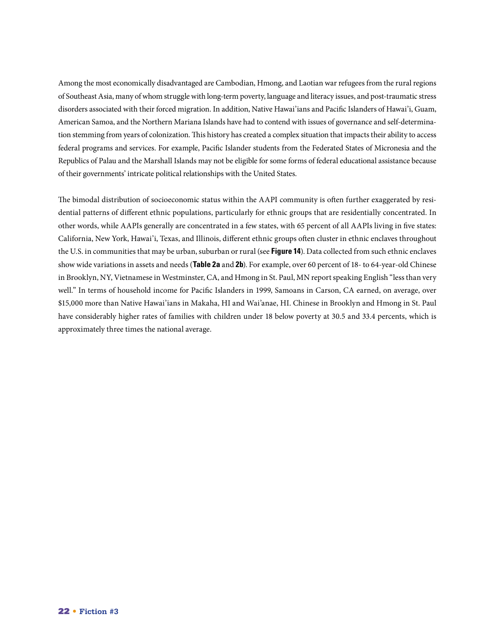Among the most economically disadvantaged are Cambodian, Hmong, and Laotian war refugees from the rural regions of Southeast Asia, many of whom struggle with long-term poverty, language and literacy issues, and post-traumatic stress disorders associated with their forced migration. In addition, Native Hawai'ians and Pacific Islanders of Hawai'i, Guam, American Samoa, and the Northern Mariana Islands have had to contend with issues of governance and self-determination stemming from years of colonization. This history has created a complex situation that impacts their ability to access federal programs and services. For example, Pacific Islander students from the Federated States of Micronesia and the Republics of Palau and the Marshall Islands may not be eligible for some forms of federal educational assistance because of their governments' intricate political relationships with the United States.

The bimodal distribution of socioeconomic status within the AAPI community is often further exaggerated by residential patterns of different ethnic populations, particularly for ethnic groups that are residentially concentrated. In other words, while AAPIs generally are concentrated in a few states, with 65 percent of all AAPIs living in five states: California, New York, Hawai'i, Texas, and Illinois, different ethnic groups often cluster in ethnic enclaves throughout the U.S. in communities that may be urban, suburban or rural (see **Figure 14**). Data collected from such ethnic enclaves show wide variations in assets and needs (**Table 2a** and **2b**). For example, over 60 percent of 18- to 64-year-old Chinese in Brooklyn, NY, Vietnamese in Westminster, CA, and Hmong in St. Paul, MN report speaking English "less than very well." In terms of household income for Pacific Islanders in 1999, Samoans in Carson, CA earned, on average, over \$15,000 more than Native Hawai'ians in Makaha, HI and Wai'anae, HI. Chinese in Brooklyn and Hmong in St. Paul have considerably higher rates of families with children under 18 below poverty at 30.5 and 33.4 percents, which is approximately three times the national average.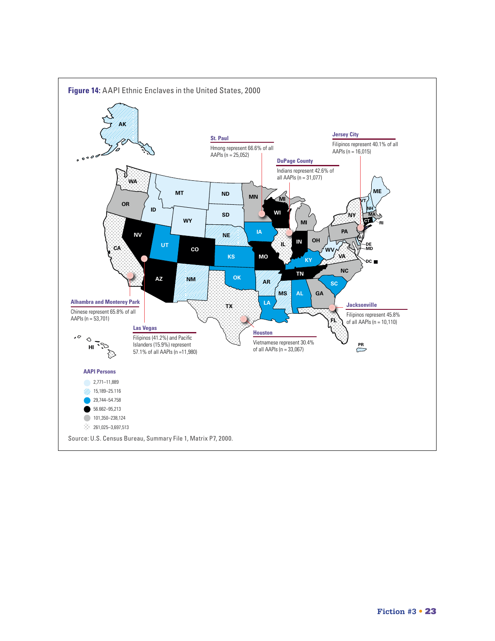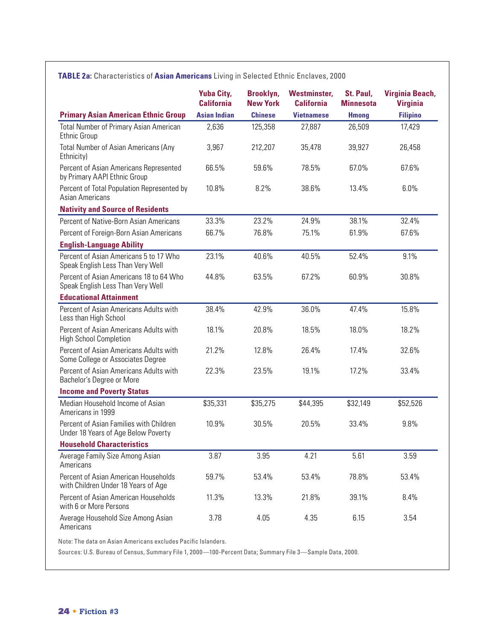#### **TABLE 2a:** Characteristics of **Asian Americans** Living in Selected Ethnic Enclaves, 2000

|                                                                                | <b>Yuba City,</b><br><b>California</b> | Brooklyn,<br><b>New York</b> | <b>Westminster,</b><br><b>California</b> | St. Paul,<br><b>Minnesota</b> | Virginia Beach,<br><b>Virginia</b> |
|--------------------------------------------------------------------------------|----------------------------------------|------------------------------|------------------------------------------|-------------------------------|------------------------------------|
| <b>Primary Asian American Ethnic Group</b>                                     | <b>Asian Indian</b>                    | <b>Chinese</b>               | <b>Vietnamese</b>                        | <b>Hmong</b>                  | <b>Filipino</b>                    |
| <b>Total Number of Primary Asian American</b><br><b>Ethnic Group</b>           | 2,636                                  | 125,358                      | 27,887                                   | 26,509                        | 17,429                             |
| <b>Total Number of Asian Americans (Any</b><br>Ethnicity)                      | 3,967                                  | 212,207                      | 35,478                                   | 39,927                        | 26,458                             |
| Percent of Asian Americans Represented<br>by Primary AAPI Ethnic Group         | 66.5%                                  | 59.6%                        | 78.5%                                    | 67.0%                         | 67.6%                              |
| Percent of Total Population Represented by<br>Asian Americans                  | 10.8%                                  | 8.2%                         | 38.6%                                    | 13.4%                         | 6.0%                               |
| <b>Nativity and Source of Residents</b>                                        |                                        |                              |                                          |                               |                                    |
| Percent of Native-Born Asian Americans                                         | 33.3%                                  | 23.2%                        | 24.9%                                    | 38.1%                         | 32.4%                              |
| Percent of Foreign-Born Asian Americans                                        | 66.7%                                  | 76.8%                        | 75.1%                                    | 61.9%                         | 67.6%                              |
| <b>English-Language Ability</b>                                                |                                        |                              |                                          |                               |                                    |
| Percent of Asian Americans 5 to 17 Who<br>Speak English Less Than Very Well    | 23.1%                                  | 40.6%                        | 40.5%                                    | 52.4%                         | 9.1%                               |
| Percent of Asian Americans 18 to 64 Who<br>Speak English Less Than Very Well   | 44.8%                                  | 63.5%                        | 67.2%                                    | 60.9%                         | 30.8%                              |
| <b>Educational Attainment</b>                                                  |                                        |                              |                                          |                               |                                    |
| Percent of Asian Americans Adults with<br>Less than High School                | 38.4%                                  | 42.9%                        | 36.0%                                    | 47.4%                         | 15.8%                              |
| Percent of Asian Americans Adults with<br><b>High School Completion</b>        | 18.1%                                  | 20.8%                        | 18.5%                                    | 18.0%                         | 18.2%                              |
| Percent of Asian Americans Adults with<br>Some College or Associates Degree    | 21.2%                                  | 12.8%                        | 26.4%                                    | 17.4%                         | 32.6%                              |
| Percent of Asian Americans Adults with<br>Bachelor's Degree or More            | 22.3%                                  | 23.5%                        | 19.1%                                    | 17.2%                         | 33.4%                              |
| <b>Income and Poverty Status</b>                                               |                                        |                              |                                          |                               |                                    |
| Median Household Income of Asian<br>Americans in 1999                          | \$35,331                               | \$35,275                     | \$44,395                                 | \$32,149                      | \$52,526                           |
| Percent of Asian Families with Children<br>Under 18 Years of Age Below Poverty | 10.9%                                  | 30.5%                        | 20.5%                                    | 33.4%                         | 9.8%                               |
| <b>Household Characteristics</b>                                               |                                        |                              |                                          |                               |                                    |
| Average Family Size Among Asian<br>Americans                                   | 3.87                                   | 3.95                         | 4.21                                     | 5.61                          | 3.59                               |
| Percent of Asian American Households<br>with Children Under 18 Years of Age    | 59.7%                                  | 53.4%                        | 53.4%                                    | 78.8%                         | 53.4%                              |
| Percent of Asian American Households<br>with 6 or More Persons                 | 11.3%                                  | 13.3%                        | 21.8%                                    | 39.1%                         | 8.4%                               |
| Average Household Size Among Asian<br>Americans                                | 3.78                                   | 4.05                         | 4.35                                     | 6.15                          | 3.54                               |

Note: The data on Asian Americans excludes Pacific Islanders.

Sources: U.S. Bureau of Census, Summary File 1, 2000—100-Percent Data; Summary File 3—Sample Data, 2000.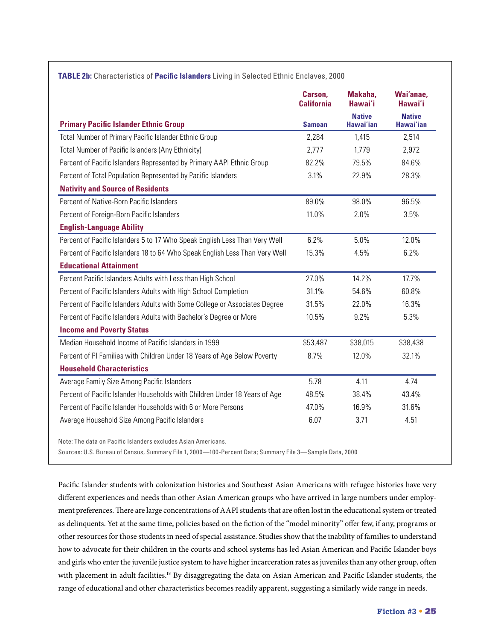|                                                                             | Carson,<br><b>California</b> | Makaha,<br>Hawai'i                | Wai'anae,<br>Hawai'i       |
|-----------------------------------------------------------------------------|------------------------------|-----------------------------------|----------------------------|
| <b>Primary Pacific Islander Ethnic Group</b>                                | <b>Samoan</b>                | <b>Native</b><br><b>Hawai'ian</b> | <b>Native</b><br>Hawai'ian |
| Total Number of Primary Pacific Islander Ethnic Group                       | 2,284                        | 1,415                             | 2,514                      |
| Total Number of Pacific Islanders (Any Ethnicity)                           | 2,777                        | 1,779                             | 2,972                      |
| Percent of Pacific Islanders Represented by Primary AAPI Ethnic Group       | 82.2%                        | 79.5%                             | 84.6%                      |
| Percent of Total Population Represented by Pacific Islanders                | 3.1%                         | 22.9%                             | 28.3%                      |
| <b>Nativity and Source of Residents</b>                                     |                              |                                   |                            |
| Percent of Native-Born Pacific Islanders                                    | 89.0%                        | 98.0%                             | 96.5%                      |
| Percent of Foreign-Born Pacific Islanders                                   | 11.0%                        | 2.0%                              | 3.5%                       |
| <b>English-Language Ability</b>                                             |                              |                                   |                            |
| Percent of Pacific Islanders 5 to 17 Who Speak English Less Than Very Well  | 6.2%                         | 5.0%                              | 12.0%                      |
| Percent of Pacific Islanders 18 to 64 Who Speak English Less Than Very Well | 15.3%                        | 4.5%                              | 6.2%                       |
| <b>Educational Attainment</b>                                               |                              |                                   |                            |
| Percent Pacific Islanders Adults with Less than High School                 | 27.0%                        | 14.2%                             | 17.7%                      |
| Percent of Pacific Islanders Adults with High School Completion             | 31.1%                        | 54.6%                             | 60.8%                      |
| Percent of Pacific Islanders Adults with Some College or Associates Degree  | 31.5%                        | 22.0%                             | 16.3%                      |
| Percent of Pacific Islanders Adults with Bachelor's Degree or More          | 10.5%                        | 9.2%                              | 5.3%                       |
| <b>Income and Poverty Status</b>                                            |                              |                                   |                            |
| Median Household Income of Pacific Islanders in 1999                        | \$53,487                     | \$38,015                          | \$38,438                   |
| Percent of PI Families with Children Under 18 Years of Age Below Poverty    | 8.7%                         | 12.0%                             | 32.1%                      |
| <b>Household Characteristics</b>                                            |                              |                                   |                            |
| Average Family Size Among Pacific Islanders                                 | 5.78                         | 4.11                              | 4.74                       |
| Percent of Pacific Islander Households with Children Under 18 Years of Age  | 48.5%                        | 38.4%                             | 43.4%                      |
| Percent of Pacific Islander Households with 6 or More Persons               | 47.0%                        | 16.9%                             | 31.6%                      |
| Average Household Size Among Pacific Islanders                              | 6.07                         | 3.71                              | 4.51                       |

Note: The data on Pacific Islanders excludes Asian Americans.

Sources: U.S. Bureau of Census, Summary File 1, 2000—100-Percent Data; Summary File 3—Sample Data, 2000

Pacific Islander students with colonization histories and Southeast Asian Americans with refugee histories have very different experiences and needs than other Asian American groups who have arrived in large numbers under employment preferences. There are large concentrations of AAPI students that are often lost in the educational system or treated as delinquents. Yet at the same time, policies based on the fiction of the "model minority" offer few, if any, programs or other resources for those students in need of special assistance. Studies show that the inability of families to understand how to advocate for their children in the courts and school systems has led Asian American and Pacific Islander boys and girls who enter the juvenile justice system to have higher incarceration rates as juveniles than any other group, often with placement in adult facilities.<sup>18</sup> By disaggregating the data on Asian American and Pacific Islander students, the range of educational and other characteristics becomes readily apparent, suggesting a similarly wide range in needs.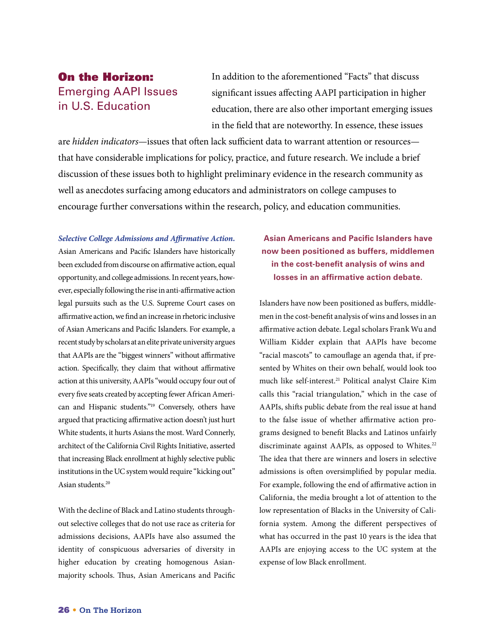# On the Horizon: **Emerging AAPI Issues** in U.S. Education

In addition to the aforementioned "Facts" that discuss significant issues affecting AAPI participation in higher education, there are also other important emerging issues in the field that are noteworthy. In essence, these issues

are *hidden indicators*—issues that often lack sufficient data to warrant attention or resources that have considerable implications for policy, practice, and future research. We include a brief discussion of these issues both to highlight preliminary evidence in the research community as well as anecdotes surfacing among educators and administrators on college campuses to encourage further conversations within the research, policy, and education communities.

*Selective College Admissions and Affirmative Action.*  Asian Americans and Pacific Islanders have historically been excluded from discourse on affirmative action, equal opportunity, and college admissions. In recent years, however, especially following the rise in anti-affirmative action legal pursuits such as the U.S. Supreme Court cases on affirmative action, we find an increase in rhetoric inclusive of Asian Americans and Pacific Islanders. For example, a recent study by scholars at an elite private university argues that AAPIs are the "biggest winners" without affirmative action. Specifically, they claim that without affirmative action at this university, AAPIs "would occupy four out of every five seats created by accepting fewer African American and Hispanic students."19 Conversely, others have argued that practicing affirmative action doesn't just hurt White students, it hurts Asians the most. Ward Connerly, architect of the California Civil Rights Initiative, asserted that increasing Black enrollment at highly selective public institutions in the UC system would require "kicking out" Asian students.<sup>20</sup>

With the decline of Black and Latino students throughout selective colleges that do not use race as criteria for admissions decisions, AAPIs have also assumed the identity of conspicuous adversaries of diversity in higher education by creating homogenous Asianmajority schools. Thus, Asian Americans and Pacific

### **Asian Americans and Pacific Islanders have now been positioned as buffers, middlemen in the cost-benefit analysis of wins and losses in an affirmative action debate.**

Islanders have now been positioned as buffers, middlemen in the cost-benefit analysis of wins and losses in an affirmative action debate. Legal scholars Frank Wu and William Kidder explain that AAPIs have become "racial mascots" to camouflage an agenda that, if presented by Whites on their own behalf, would look too much like self-interest.<sup>21</sup> Political analyst Claire Kim calls this "racial triangulation," which in the case of AAPIs, shifts public debate from the real issue at hand to the false issue of whether affirmative action programs designed to benefit Blacks and Latinos unfairly discriminate against AAPIs, as opposed to Whites.<sup>22</sup> The idea that there are winners and losers in selective admissions is often oversimplified by popular media. For example, following the end of affirmative action in California, the media brought a lot of attention to the low representation of Blacks in the University of California system. Among the different perspectives of what has occurred in the past 10 years is the idea that AAPIs are enjoying access to the UC system at the expense of low Black enrollment.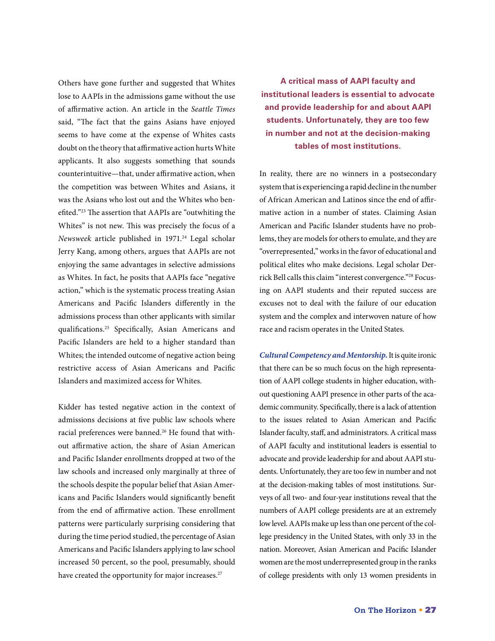Others have gone further and suggested that Whites lose to AAPIs in the admissions game without the use of affirmative action. An article in the *Seattle Times* said, "The fact that the gains Asians have enjoyed seems to have come at the expense of Whites casts doubt on the theory that affirmative action hurts White applicants. It also suggests something that sounds counterintuitive—that, under affirmative action, when the competition was between Whites and Asians, it was the Asians who lost out and the Whites who benefited."23 The assertion that AAPIs are "outwhiting the Whites" is not new. This was precisely the focus of a *Newsweek* article published in 1971.<sup>24</sup> Legal scholar Jerry Kang, among others, argues that AAPIs are not enjoying the same advantages in selective admissions as Whites. In fact, he posits that AAPIs face "negative action," which is the systematic process treating Asian Americans and Pacific Islanders differently in the admissions process than other applicants with similar qualifications.25 Specifically, Asian Americans and Pacific Islanders are held to a higher standard than Whites; the intended outcome of negative action being restrictive access of Asian Americans and Pacific Islanders and maximized access for Whites.

Kidder has tested negative action in the context of admissions decisions at five public law schools where racial preferences were banned.<sup>26</sup> He found that without affirmative action, the share of Asian American and Pacific Islander enrollments dropped at two of the law schools and increased only marginally at three of the schools despite the popular belief that Asian Americans and Pacific Islanders would significantly benefit from the end of affirmative action. These enrollment patterns were particularly surprising considering that during the time period studied, the percentage of Asian Americans and Pacific Islanders applying to law school increased 50 percent, so the pool, presumably, should have created the opportunity for major increases.<sup>27</sup>

**A critical mass of AAPI faculty and institutional leaders is essential to advocate and provide leadership for and about AAPI students. Unfortunately, they are too few in number and not at the decision-making tables of most institutions.**

In reality, there are no winners in a postsecondary system that is experiencing a rapid decline in the number of African American and Latinos since the end of affirmative action in a number of states. Claiming Asian American and Pacific Islander students have no problems, they are models for others to emulate, and they are "overrepresented," works in the favor of educational and political elites who make decisions. Legal scholar Derrick Bell calls this claim "interest convergence."28 Focusing on AAPI students and their reputed success are excuses not to deal with the failure of our education system and the complex and interwoven nature of how race and racism operates in the United States.

*Cultural Competency and Mentorship.* It is quite ironic that there can be so much focus on the high representation of AAPI college students in higher education, without questioning AAPI presence in other parts of the academic community. Specifically, there is a lack of attention to the issues related to Asian American and Pacific Islander faculty, staff, and administrators. A critical mass of AAPI faculty and institutional leaders is essential to advocate and provide leadership for and about AAPI students. Unfortunately, they are too few in number and not at the decision-making tables of most institutions. Surveys of all two- and four-year institutions reveal that the numbers of AAPI college presidents are at an extremely low level. AAPIs make up less than one percent of the college presidency in the United States, with only 33 in the nation. Moreover, Asian American and Pacific Islander women are the most underrepresented group in the ranks of college presidents with only 13 women presidents in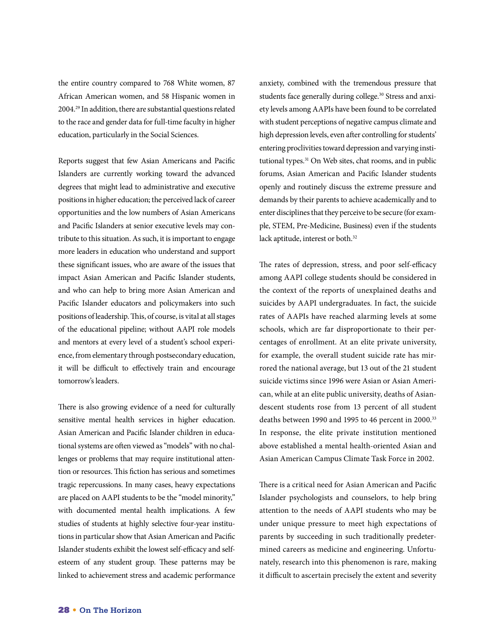the entire country compared to 768 White women, 87 African American women, and 58 Hispanic women in 2004.29 In addition, there are substantial questions related to the race and gender data for full-time faculty in higher education, particularly in the Social Sciences.

Reports suggest that few Asian Americans and Pacific Islanders are currently working toward the advanced degrees that might lead to administrative and executive positions in higher education; the perceived lack of career opportunities and the low numbers of Asian Americans and Pacific Islanders at senior executive levels may contribute to this situation. As such, it is important to engage more leaders in education who understand and support these significant issues, who are aware of the issues that impact Asian American and Pacific Islander students, and who can help to bring more Asian American and Pacific Islander educators and policymakers into such positions of leadership. This, of course, is vital at all stages of the educational pipeline; without AAPI role models and mentors at every level of a student's school experience, from elementary through postsecondary education, it will be difficult to effectively train and encourage tomorrow's leaders.

There is also growing evidence of a need for culturally sensitive mental health services in higher education. Asian American and Pacific Islander children in educational systems are often viewed as "models" with no challenges or problems that may require institutional attention or resources. This fiction has serious and sometimes tragic repercussions. In many cases, heavy expectations are placed on AAPI students to be the "model minority," with documented mental health implications. A few studies of students at highly selective four-year institutions in particular show that Asian American and Pacific Islander students exhibit the lowest self-efficacy and selfesteem of any student group. These patterns may be linked to achievement stress and academic performance

anxiety, combined with the tremendous pressure that students face generally during college.<sup>30</sup> Stress and anxiety levels among AAPIs have been found to be correlated with student perceptions of negative campus climate and high depression levels, even after controlling for students' entering proclivities toward depression and varying institutional types.<sup>31</sup> On Web sites, chat rooms, and in public forums, Asian American and Pacific Islander students openly and routinely discuss the extreme pressure and demands by their parents to achieve academically and to enter disciplines that they perceive to be secure (for example, STEM, Pre-Medicine, Business) even if the students lack aptitude, interest or both.<sup>32</sup>

The rates of depression, stress, and poor self-efficacy among AAPI college students should be considered in the context of the reports of unexplained deaths and suicides by AAPI undergraduates. In fact, the suicide rates of AAPIs have reached alarming levels at some schools, which are far disproportionate to their percentages of enrollment. At an elite private university, for example, the overall student suicide rate has mirrored the national average, but 13 out of the 21 student suicide victims since 1996 were Asian or Asian American, while at an elite public university, deaths of Asiandescent students rose from 13 percent of all student deaths between 1990 and 1995 to 46 percent in 2000.<sup>33</sup> In response, the elite private institution mentioned above established a mental health-oriented Asian and Asian American Campus Climate Task Force in 2002.

There is a critical need for Asian American and Pacific Islander psychologists and counselors, to help bring attention to the needs of AAPI students who may be under unique pressure to meet high expectations of parents by succeeding in such traditionally predetermined careers as medicine and engineering. Unfortunately, research into this phenomenon is rare, making it difficult to ascertain precisely the extent and severity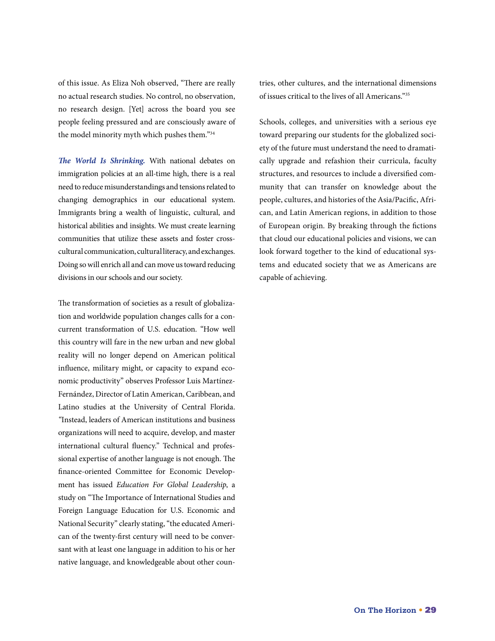of this issue. As Eliza Noh observed, "There are really no actual research studies. No control, no observation, no research design. [Yet] across the board you see people feeling pressured and are consciously aware of the model minority myth which pushes them."34

*The World Is Shrinking.* With national debates on immigration policies at an all-time high, there is a real need to reduce misunderstandings and tensions related to changing demographics in our educational system. Immigrants bring a wealth of linguistic, cultural, and historical abilities and insights. We must create learning communities that utilize these assets and foster crosscultural communication, cultural literacy, and exchanges. Doing so will enrich all and can move us toward reducing divisions in our schools and our society.

The transformation of societies as a result of globalization and worldwide population changes calls for a concurrent transformation of U.S. education. "How well this country will fare in the new urban and new global reality will no longer depend on American political influence, military might, or capacity to expand economic productivity" observes Professor Luis Martínez-Fernández, Director of Latin American, Caribbean, and Latino studies at the University of Central Florida. *"*Instead, leaders of American institutions and business organizations will need to acquire, develop, and master international cultural fluency." Technical and professional expertise of another language is not enough. The finance-oriented Committee for Economic Development has issued *Education For Global Leadership*, a study on "The Importance of International Studies and Foreign Language Education for U.S. Economic and National Security" clearly stating, "the educated American of the twenty-first century will need to be conversant with at least one language in addition to his or her native language, and knowledgeable about other countries, other cultures, and the international dimensions of issues critical to the lives of all Americans."35

Schools, colleges, and universities with a serious eye toward preparing our students for the globalized society of the future must understand the need to dramatically upgrade and refashion their curricula, faculty structures, and resources to include a diversified community that can transfer on knowledge about the people, cultures, and histories of the Asia/Pacific, African, and Latin American regions, in addition to those of European origin. By breaking through the fictions that cloud our educational policies and visions, we can look forward together to the kind of educational systems and educated society that we as Americans are capable of achieving.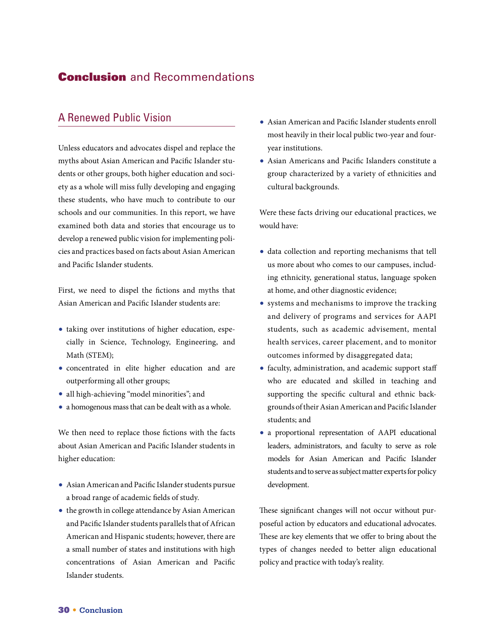# **Conclusion** and Recommendations

### A Renewed Public Vision

Unless educators and advocates dispel and replace the myths about Asian American and Pacific Islander students or other groups, both higher education and society as a whole will miss fully developing and engaging these students, who have much to contribute to our schools and our communities. In this report, we have examined both data and stories that encourage us to develop a renewed public vision for implementing policies and practices based on facts about Asian American and Pacific Islander students.

First, we need to dispel the fictions and myths that Asian American and Pacific Islander students are:

- **•** taking over institutions of higher education, especially in Science, Technology, Engineering, and Math (STEM);
- **•** concentrated in elite higher education and are outperforming all other groups;
- **•** all high-achieving "model minorities"; and
- **•** a homogenous mass that can be dealt with as a whole.

We then need to replace those fictions with the facts about Asian American and Pacific Islander students in higher education:

- **•** Asian American and Pacific Islander students pursue a broad range of academic fields of study.
- **•** the growth in college attendance by Asian American and Pacific Islander students parallels that of African American and Hispanic students; however, there are a small number of states and institutions with high concentrations of Asian American and Pacific Islander students.
- **•** Asian American and Pacific Islander students enroll most heavily in their local public two-year and fouryear institutions.
- **•** Asian Americans and Pacific Islanders constitute a group characterized by a variety of ethnicities and cultural backgrounds.

Were these facts driving our educational practices, we would have:

- **•** data collection and reporting mechanisms that tell us more about who comes to our campuses, including ethnicity, generational status, language spoken at home, and other diagnostic evidence;
- **•** systems and mechanisms to improve the tracking and delivery of programs and services for AAPI students, such as academic advisement, mental health services, career placement, and to monitor outcomes informed by disaggregated data;
- **•** faculty, administration, and academic support staff who are educated and skilled in teaching and supporting the specific cultural and ethnic backgrounds of their Asian American and Pacific Islander students; and
- **•** a proportional representation of AAPI educational leaders, administrators, and faculty to serve as role models for Asian American and Pacific Islander students and to serve as subject matter experts for policy development.

These significant changes will not occur without purposeful action by educators and educational advocates. These are key elements that we offer to bring about the types of changes needed to better align educational policy and practice with today's reality.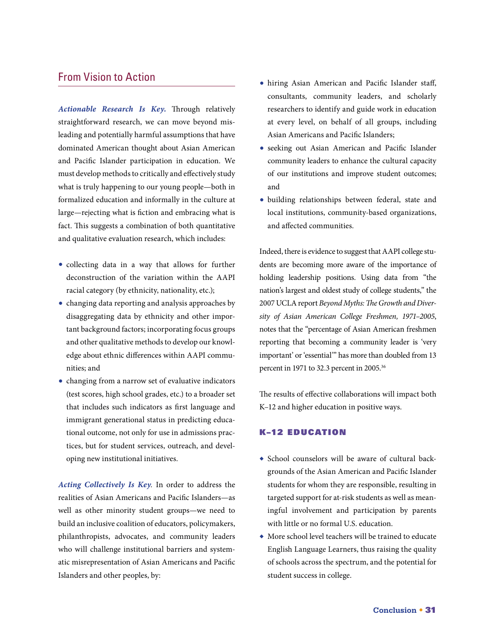### From Vision to Action

*Actionable Research Is Key.* Through relatively straightforward research, we can move beyond misleading and potentially harmful assumptions that have dominated American thought about Asian American and Pacific Islander participation in education. We must develop methods to critically and effectively study what is truly happening to our young people—both in formalized education and informally in the culture at large—rejecting what is fiction and embracing what is fact. This suggests a combination of both quantitative and qualitative evaluation research, which includes:

- **•** collecting data in a way that allows for further deconstruction of the variation within the AAPI racial category (by ethnicity, nationality, etc.);
- **•** changing data reporting and analysis approaches by disaggregating data by ethnicity and other important background factors; incorporating focus groups and other qualitative methods to develop our knowledge about ethnic differences within AAPI communities; and
- **•** changing from a narrow set of evaluative indicators (test scores, high school grades, etc.) to a broader set that includes such indicators as first language and immigrant generational status in predicting educational outcome, not only for use in admissions practices, but for student services, outreach, and developing new institutional initiatives.

*Acting Collectively Is Key.* In order to address the realities of Asian Americans and Pacific Islanders—as well as other minority student groups—we need to build an inclusive coalition of educators, policymakers, philanthropists, advocates, and community leaders who will challenge institutional barriers and systematic misrepresentation of Asian Americans and Pacific Islanders and other peoples, by:

- **•** hiring Asian American and Pacific Islander staff, consultants, community leaders, and scholarly researchers to identify and guide work in education at every level, on behalf of all groups, including Asian Americans and Pacific Islanders;
- **•** seeking out Asian American and Pacific Islander community leaders to enhance the cultural capacity of our institutions and improve student outcomes; and
- **•** building relationships between federal, state and local institutions, community-based organizations, and affected communities.

Indeed, there is evidence to suggest that AAPI college students are becoming more aware of the importance of holding leadership positions. Using data from "the nation's largest and oldest study of college students," the 2007 UCLA report *Beyond Myths: The Growth and Diversity of Asian American College Freshmen, 1971–2005*, notes that the "percentage of Asian American freshmen reporting that becoming a community leader is 'very important' or 'essential'" has more than doubled from 13 percent in 1971 to 32.3 percent in 2005.<sup>36</sup>

The results of effective collaborations will impact both K–12 and higher education in positive ways.

#### K–12 Education

- **◆** School counselors will be aware of cultural backgrounds of the Asian American and Pacific Islander students for whom they are responsible, resulting in targeted support for at-risk students as well as meaningful involvement and participation by parents with little or no formal U.S. education.
- **◆** More school level teachers will be trained to educate English Language Learners, thus raising the quality of schools across the spectrum, and the potential for student success in college.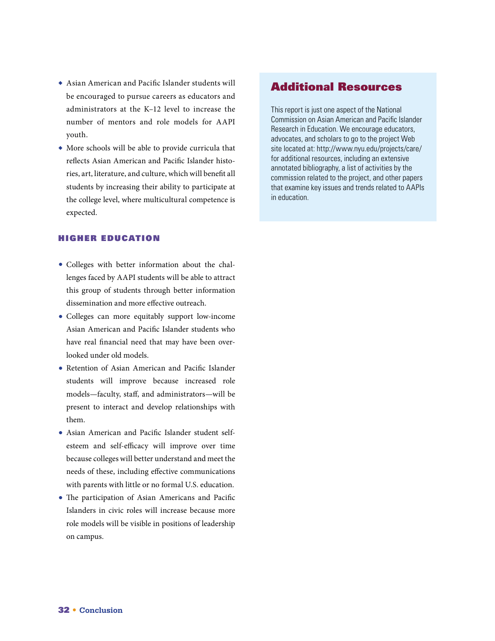- **◆** Asian American and Pacific Islander students will be encouraged to pursue careers as educators and administrators at the K–12 level to increase the number of mentors and role models for AAPI youth.
- **◆** More schools will be able to provide curricula that reflects Asian American and Pacific Islander histories, art, literature, and culture, which will benefit all students by increasing their ability to participate at the college level, where multicultural competence is expected.

#### Higher Education

- **•** Colleges with better information about the challenges faced by AAPI students will be able to attract this group of students through better information dissemination and more effective outreach.
- **•** Colleges can more equitably support low-income Asian American and Pacific Islander students who have real financial need that may have been overlooked under old models.
- **•** Retention of Asian American and Pacific Islander students will improve because increased role models—faculty, staff, and administrators—will be present to interact and develop relationships with them.
- **•** Asian American and Pacific Islander student selfesteem and self-efficacy will improve over time because colleges will better understand and meet the needs of these, including effective communications with parents with little or no formal U.S. education.
- **•** The participation of Asian Americans and Pacific Islanders in civic roles will increase because more role models will be visible in positions of leadership on campus.

#### Additional Resources

This report is just one aspect of the National Commission on Asian American and Pacific Islander Research in Education. We encourage educators, advocates, and scholars to go to the project Web site located at: http://www.nyu.edu/projects/care/ for additional resources, including an extensive annotated bibliography, a list of activities by the commission related to the project, and other papers that examine key issues and trends related to AAPIs in education.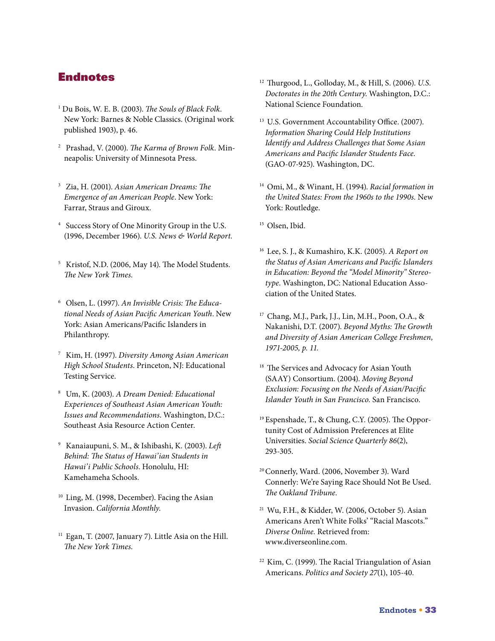### Endnotes

- 1 Du Bois, W. E. B. (2003). *The Souls of Black Folk*. New York: Barnes & Noble Classics. (Original work published 1903), p. 46.
- 2 Prashad, V. (2000). *The Karma of Brown Folk*. Minneapolis: University of Minnesota Press.
- 3 Zia, H. (2001). *Asian American Dreams: The Emergence of an American People*. New York: Farrar, Straus and Giroux.
- 4 Success Story of One Minority Group in the U.S. (1996, December 1966). *U.S. News & World Report*.
- 5 Kristof, N.D. (2006, May 14). The Model Students. *The New York Times*.
- 6 Olsen, L. (1997). *An Invisible Crisis: The Educational Needs of Asian Pacific American Youth*. New York: Asian Americans/Pacific Islanders in Philanthropy.
- 7 Kim, H. (1997). *Diversity Among Asian American High School Students*. Princeton, NJ: Educational Testing Service.
- 8 Um, K. (2003). *A Dream Denied: Educational Experiences of Southeast Asian American Youth: Issues and Recommendations*. Washington, D.C.: Southeast Asia Resource Action Center.
- 9 Kanaiaupuni, S. M., & Ishibashi, K. (2003). *Left Behind: The Status of Hawai'ian Students in Hawai'i Public Schools*. Honolulu, HI: Kamehameha Schools.
- <sup>10</sup> Ling, M. (1998, December). Facing the Asian Invasion. *California Monthly*.
- $11$  Egan, T. (2007, January 7). Little Asia on the Hill. *The New York Times*.
- 12 Thurgood, L., Golloday, M., & Hill, S. (2006). *U.S. Doctorates in the 20th Century*. Washington, D.C.: National Science Foundation.
- <sup>13</sup> U.S. Government Accountability Office. (2007). *Information Sharing Could Help Institutions Identify and Address Challenges that Some Asian Americans and Pacific Islander Students Face.*  (GAO-07-925). Washington, DC.
- 14 Omi, M., & Winant, H. (1994). *Racial formation in the United States: From the 1960s to the 1990s.* New York: Routledge.
- <sup>15</sup> Olsen, Ibid.
- 16 Lee, S. J., & Kumashiro, K.K. (2005). *A Report on the Status of Asian Americans and Pacific Islanders in Education: Beyond the "Model Minority" Stereotype*. Washington, DC: National Education Association of the United States.
- 17 Chang, M.J., Park, J.J., Lin, M.H., Poon, O.A., & Nakanishi, D.T. (2007). *Beyond Myths: The Growth and Diversity of Asian American College Freshmen, 1971-2005, p. 11.*
- <sup>18</sup> The Services and Advocacy for Asian Youth (SAAY) Consortium. (2004). *Moving Beyond Exclusion: Focusing on the Needs of Asian/Pacific Islander Youth in San Francisco.* San Francisco.
- <sup>19</sup> Espenshade, T., & Chung, C.Y. (2005). The Opportunity Cost of Admission Preferences at Elite Universities. *Social Science Quarterly 86*(2), 293-305.
- <sup>20</sup> Connerly, Ward. (2006, November 3). Ward Connerly: We're Saying Race Should Not Be Used. *The Oakland Tribune*.
- 21 Wu, F.H., & Kidder, W. (2006, October 5). Asian Americans Aren't White Folks' "Racial Mascots." *Diverse Online.* Retrieved from: www.diverseonline.com.
- <sup>22</sup> Kim, C. (1999). The Racial Triangulation of Asian Americans. *Politics and Society 27*(1), 105-40.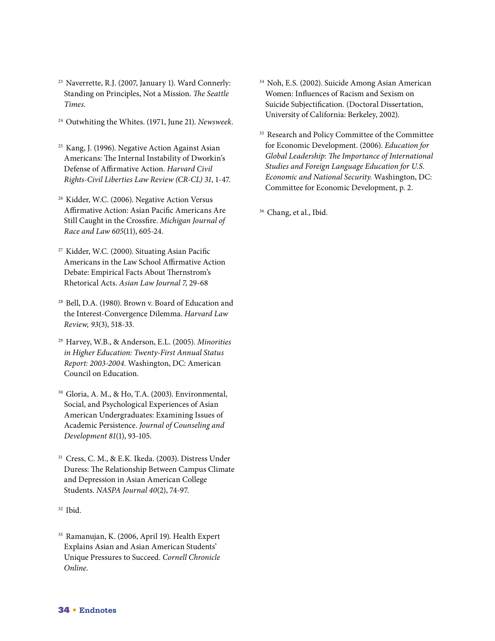- 23 Naverrette, R.J. (2007, January 1). Ward Connerly: Standing on Principles, Not a Mission. *The Seattle Times.*
- 24 Outwhiting the Whites. (1971, June 21). *Newsweek.*
- 25 Kang, J. (1996). Negative Action Against Asian Americans: The Internal Instability of Dworkin's Defense of Affirmative Action. *Harvard Civil Rights-Civil Liberties Law Review (CR-CL) 31*, 1-47.
- 26 Kidder, W.C. (2006). Negative Action Versus Affirmative Action: Asian Pacific Americans Are Still Caught in the Crossfire. *Michigan Journal of Race and Law 605*(11), 605-24.
- 27 Kidder, W.C. (2000). Situating Asian Pacific Americans in the Law School Affirmative Action Debate: Empirical Facts About Thernstrom's Rhetorical Acts. *Asian Law Journal 7*, 29-68
- 28 Bell, D.A. (1980). Brown v. Board of Education and the Interest-Convergence Dilemma. *Harvard Law Review, 93*(3), 518-33.
- 29 Harvey, W.B., & Anderson, E.L. (2005). *Minorities in Higher Education: Twenty-First Annual Status Report: 2003-2004.* Washington, DC: American Council on Education.
- 30 Gloria, A. M., & Ho, T.A. (2003). Environmental, Social, and Psychological Experiences of Asian American Undergraduates: Examining Issues of Academic Persistence. *Journal of Counseling and Development 81*(1), 93-105.
- 31 Cress, C. M., & E.K. Ikeda. (2003). Distress Under Duress: The Relationship Between Campus Climate and Depression in Asian American College Students. *NASPA Journal 40*(2), 74-97.
- $32$  Ibid.
- 33 Ramanujan, K. (2006, April 19). Health Expert Explains Asian and Asian American Students' Unique Pressures to Succeed. *Cornell Chronicle Online*.
- 34 Noh, E.S. (2002). Suicide Among Asian American Women: Influences of Racism and Sexism on Suicide Subjectification*.* (Doctoral Dissertation, University of California: Berkeley, 2002).
- <sup>35</sup> Research and Policy Committee of the Committee for Economic Development. (2006). *Education for Global Leadership: The Importance of International Studies and Foreign Language Education for U.S. Economic and National Security.* Washington, DC: Committee for Economic Development, p. 2.

<sup>36</sup> Chang, et al., Ibid.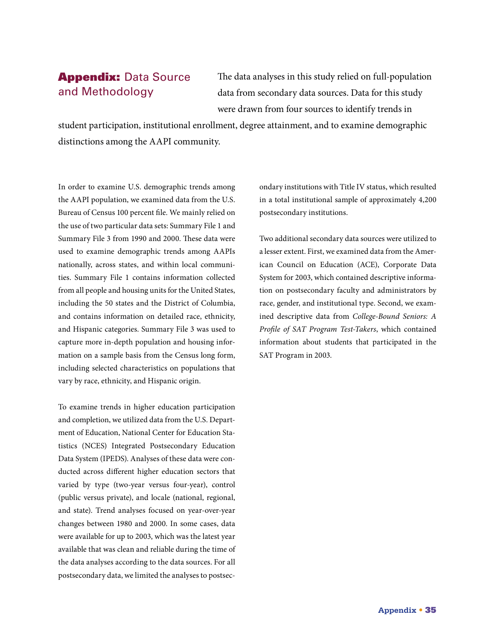# **Appendix: Data Source** and Methodology

The data analyses in this study relied on full-population data from secondary data sources. Data for this study were drawn from four sources to identify trends in

student participation, institutional enrollment, degree attainment, and to examine demographic distinctions among the AAPI community.

In order to examine U.S. demographic trends among the AAPI population, we examined data from the U.S. Bureau of Census 100 percent file. We mainly relied on the use of two particular data sets: Summary File 1 and Summary File 3 from 1990 and 2000. These data were used to examine demographic trends among AAPIs nationally, across states, and within local communities. Summary File 1 contains information collected from all people and housing units for the United States, including the 50 states and the District of Columbia, and contains information on detailed race, ethnicity, and Hispanic categories. Summary File 3 was used to capture more in-depth population and housing information on a sample basis from the Census long form, including selected characteristics on populations that vary by race, ethnicity, and Hispanic origin.

To examine trends in higher education participation and completion, we utilized data from the U.S. Department of Education, National Center for Education Statistics (NCES) Integrated Postsecondary Education Data System (IPEDS). Analyses of these data were conducted across different higher education sectors that varied by type (two-year versus four-year), control (public versus private), and locale (national, regional, and state). Trend analyses focused on year-over-year changes between 1980 and 2000. In some cases, data were available for up to 2003, which was the latest year available that was clean and reliable during the time of the data analyses according to the data sources. For all postsecondary data, we limited the analyses to postsecondary institutions with Title IV status, which resulted in a total institutional sample of approximately 4,200 postsecondary institutions.

Two additional secondary data sources were utilized to a lesser extent. First, we examined data from the American Council on Education (ACE), Corporate Data System for 2003, which contained descriptive information on postsecondary faculty and administrators by race, gender, and institutional type. Second, we examined descriptive data from *College-Bound Seniors: A Profile of SAT Program Test-Takers*, which contained information about students that participated in the SAT Program in 2003.